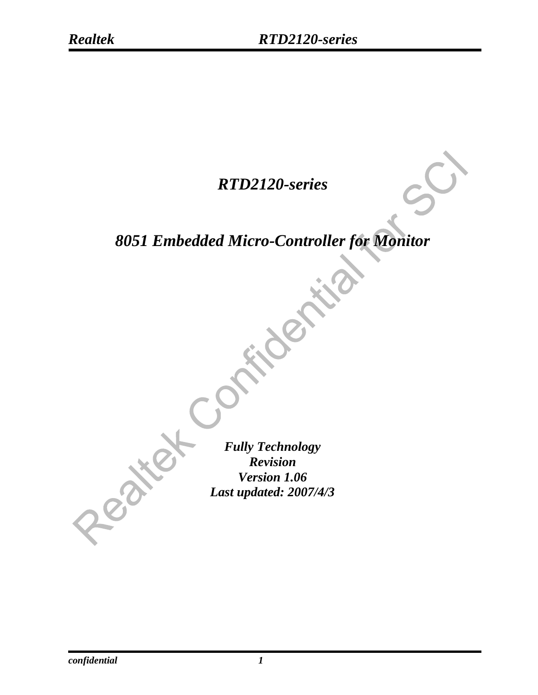## *RTD2120-series*

# *8051 Embedded Micro-Controller for Monitor*

*Fully Technology Revision Version 1.06 Last updated: 2007/4/3* 

*confidential* 1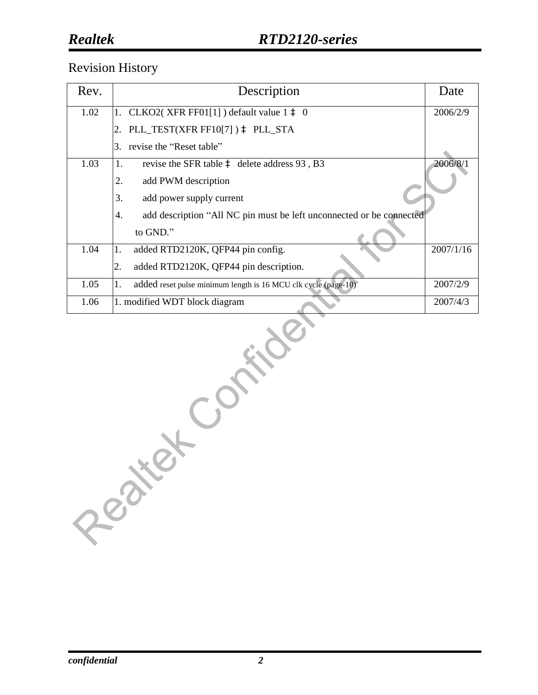### **Realtek**

#### Revision History

| Rev. | Description                                                                | Date      |
|------|----------------------------------------------------------------------------|-----------|
| 1.02 | 1. CLKO2(XFR FF01[1]) default value $1 \triangleq 0$                       | 2006/2/9  |
|      | PLL_TEST(XFR FF10[7]) à PLL_STA                                            |           |
|      | revise the "Reset table"<br>3.                                             |           |
| 1.03 | revise the SFR table $\hat{a}$ delete address 93, B3<br>1.                 | 2006/8/1  |
|      | 2.<br>add PWM description                                                  |           |
|      | 3.<br>add power supply current                                             |           |
|      | add description "All NC pin must be left unconnected or be connected<br>4. |           |
|      | to GND."                                                                   |           |
| 1.04 | added RTD2120K, QFP44 pin config.<br>1.                                    | 2007/1/16 |
|      | added RTD2120K, QFP44 pin description.<br>2.                               |           |
| 1.05 | added reset pulse minimum length is 16 MCU clk cycle (page-10)<br>ı.       | 2007/2/9  |
| 1.06 | 1. modified WDT block diagram                                              | 2007/4/3  |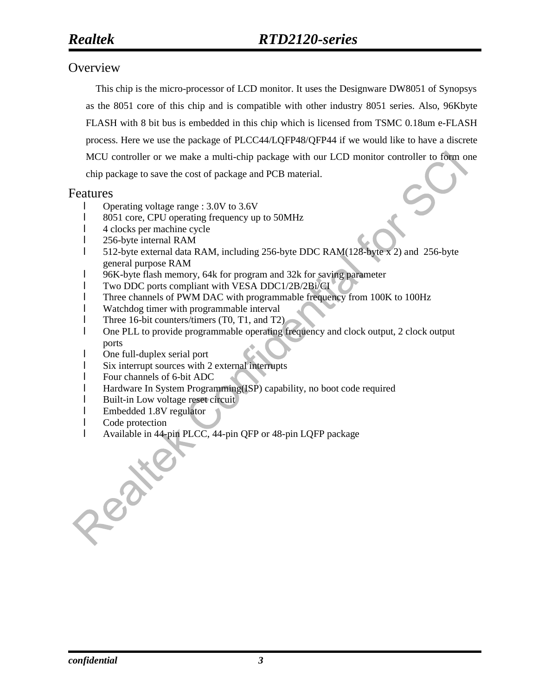#### **Overview**

This chip is the micro-processor of LCD monitor. It uses the Designware DW8051 of Synopsys as the 8051 core of this chip and is compatible with other industry 8051 series. Also, 96Kbyte FLASH with 8 bit bus is embedded in this chip which is licensed from TSMC 0.18um e-FLASH process. Here we use the package of PLCC44/LQFP48/QFP44 if we would like to have a discrete MCU controller or we make a multi-chip package with our LCD monitor controller to form one chip package to save the cost of package and PCB material.

#### Features

- l Operating voltage range : 3.0V to 3.6V
- l 8051 core, CPU operating frequency up to 50MHz
- l 4 clocks per machine cycle
- l 256-byte internal RAM
- l 512-byte external data RAM, including 256-byte DDC RAM(128-byte x 2) and 256-byte general purpose RAM
- l 96K-byte flash memory, 64k for program and 32k for saving parameter
- l Two DDC ports compliant with VESA DDC1/2B/2Bi/CI
- l Three channels of PWM DAC with programmable frequency from 100K to 100Hz
- l Watchdog timer with programmable interval
- l Three 16-bit counters/timers (T0, T1, and T2)
- l One PLL to provide programmable operating frequency and clock output, 2 clock output ports
- l One full-duplex serial port
- l Six interrupt sources with 2 external interrupts
- l Four channels of 6-bit ADC
- l Hardware In System Programming(ISP) capability, no boot code required
- **I** Built-in Low voltage reset circuit
- l Embedded 1.8V regulator
- l Code protection
- l Available in 44-pin PLCC, 44-pin QFP or 48-pin LQFP package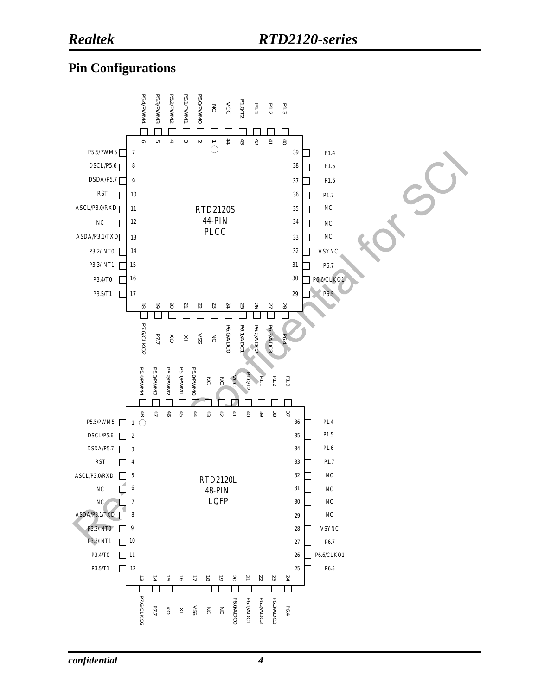#### **Pin Configurations**

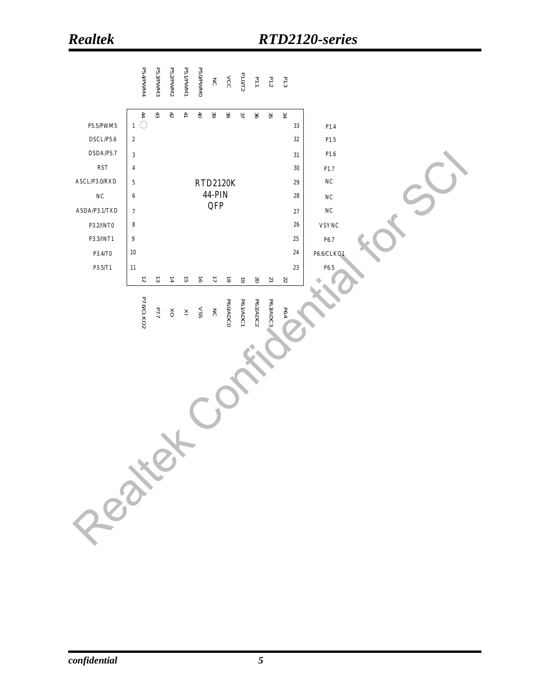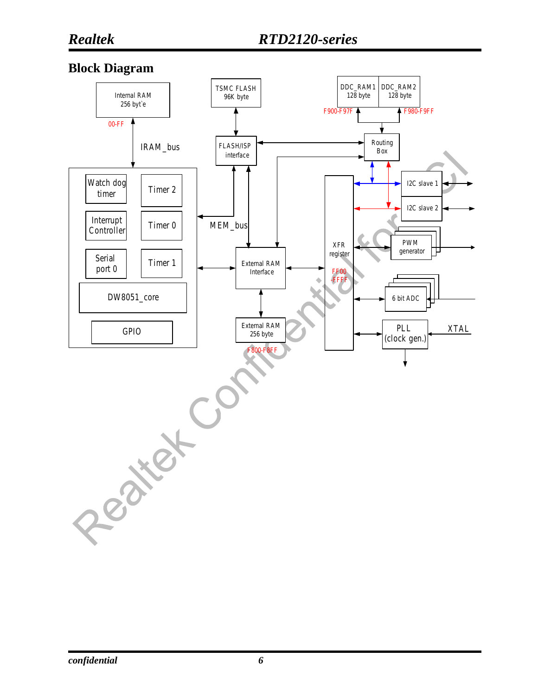#### **Block Diagram**

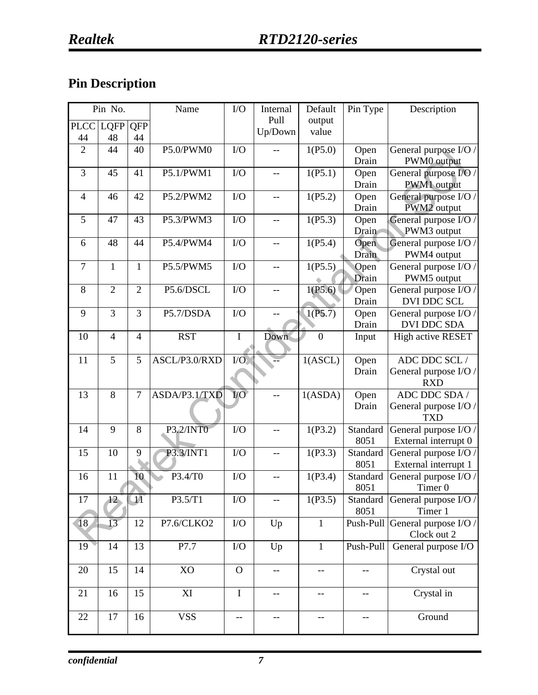## **Pin Description**

|                | Pin No.         |                | Name          | ${\rm I/O}$     | Internal                 | Default        | Pin Type  | Description           |
|----------------|-----------------|----------------|---------------|-----------------|--------------------------|----------------|-----------|-----------------------|
| <b>PLCC</b>    | <b>LQFP</b>     | QFP            |               |                 | Pull                     | output         |           |                       |
| 44             | 48              | 44             |               |                 | Up/Down                  | value          |           |                       |
| $\overline{2}$ | 44              | 40             | P5.0/PWM0     | I/O             |                          | 1(P5.0)        | Open      | General purpose I/O / |
|                |                 |                |               |                 |                          |                | Drain     | PWM0 output           |
| 3              | 45              | 41             | P5.1/PWM1     | I/O             |                          | 1(P5.1)        | Open      | General purpose I/O / |
|                |                 |                |               |                 |                          |                | Drain     | PWM1 output           |
| $\overline{4}$ | 46              | 42             | P5.2/PWM2     | I/O             | --                       | 1(P5.2)        | Open      | General purpose I/O / |
|                |                 |                |               |                 |                          |                | Drain     | PWM2 output           |
| 5              | 47              | 43             | P5.3/PWM3     | I/O             | --                       | 1(P5.3)        | Open      | General purpose I/O / |
|                |                 |                |               |                 |                          |                | Drain     | PWM3 output           |
| 6              | 48              | 44             | P5.4/PWM4     | I/O             |                          | 1(P5.4)        | Open      | General purpose I/O / |
|                |                 |                |               |                 |                          |                | Drain     | PWM4 output           |
| 7              | $\mathbf{1}$    | 1              | P5.5/PWM5     | I/O             | --                       | 1(P5.5)        | Open      | General purpose I/O / |
|                |                 |                |               |                 |                          |                | Drain     | PWM5 output           |
| 8              | $\overline{2}$  | $\overline{2}$ | P5.6/DSCL     | I/O             | --                       | 1(P5.6)        | Open      | General purpose I/O / |
|                |                 |                |               |                 |                          |                | Drain     | DVI DDC SCL           |
| 9              | 3               | 3              | P5.7/DSDA     | I/O             | $-$                      | 1(P5.7)        | Open      | General purpose I/O / |
|                |                 |                |               |                 |                          |                | Drain     | DVI DDC SDA           |
| 10             | $\overline{4}$  | $\overline{4}$ | <b>RST</b>    | $\rm I$         | Down                     | $\overline{0}$ | Input     | High active RESET     |
| 11             | 5               | 5              | ASCL/P3.0/RXD | $IO$            |                          | 1(ASCL)        | Open      | ADC DDC SCL /         |
|                |                 |                |               |                 |                          |                | Drain     | General purpose I/O / |
|                |                 |                |               |                 |                          |                |           | <b>RXD</b>            |
| 13             | 8               | 7              | ASDA/P3.1/TXD | $V\overline{O}$ |                          | 1(ASDA)        | Open      | ADC DDC SDA /         |
|                |                 |                |               |                 |                          |                | Drain     | General purpose I/O / |
|                |                 |                |               |                 |                          |                |           | <b>TXD</b>            |
| 14             | 9               | 8              | P3.2/INT0     | I/O             |                          | 1(P3.2)        | Standard  | General purpose I/O / |
|                |                 |                |               |                 |                          |                | 8051      | External interrupt 0  |
| 15             | 10              | 9              | P3.3/INT1     | I/O             | $-$                      | 1(P3.3)        | Standard  | General purpose I/O / |
|                |                 |                |               |                 |                          |                | 8051      | External interrupt 1  |
| 16             | 11              | 10             | P3.4/T0       | I/O             |                          | 1(P3.4)        | Standard  | General purpose I/O / |
|                |                 |                |               |                 |                          |                | 8051      | Timer <sub>0</sub>    |
| 17             | 12 <sub>1</sub> | $\Pi$          | P3.5/T1       | $\rm I/O$       |                          | 1(P3.5)        | Standard  | General purpose I/O / |
|                |                 |                |               |                 |                          |                | 8051      | Timer 1               |
| 18             | 13 <sup>°</sup> | 12             | P7.6/CLKO2    | ${\rm I/O}$     | Up                       | $\mathbf{1}$   | Push-Pull | General purpose I/O / |
|                |                 |                |               |                 |                          |                |           | Clock out 2           |
| 19             | 14              | 13             | P7.7          | $\rm I/O$       | Up                       | $\mathbf{1}$   | Push-Pull | General purpose I/O   |
| 20             | 15              | 14             | XO            | $\mathbf{O}$    | $-$                      | --             | --        | Crystal out           |
|                |                 |                |               |                 |                          |                |           |                       |
| 21             | 16              | 15             | XI            | $\bf I$         | $\overline{\phantom{a}}$ | $-$            | $-$       | Crystal in            |
|                |                 |                |               |                 |                          |                |           |                       |
| 22             | 17              | 16             | <b>VSS</b>    | --              |                          |                |           | Ground                |
|                |                 |                |               |                 |                          |                |           |                       |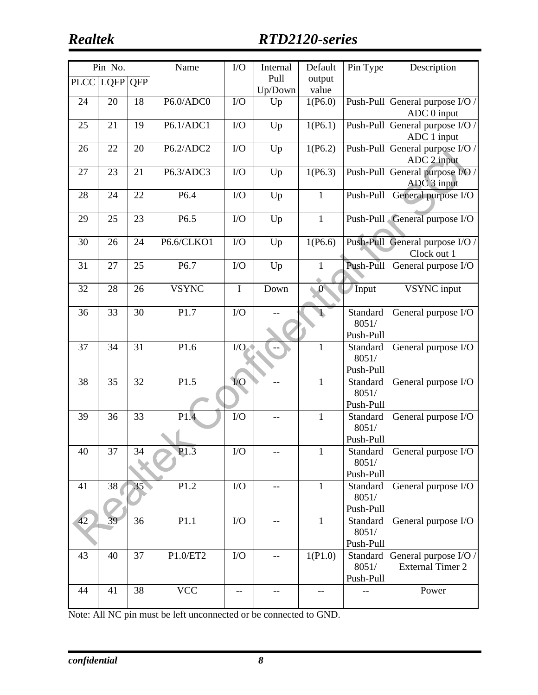## *Realtek RTD2120-series*

|    | Pin No.       |                 | Name         | I/O             | Internal | Default      | Pin Type  | Description                     |
|----|---------------|-----------------|--------------|-----------------|----------|--------------|-----------|---------------------------------|
|    | PLCC LQFP QFP |                 |              |                 | Pull     | output       |           |                                 |
|    |               |                 |              |                 | Up/Down  | value        |           |                                 |
| 24 | 20            | 18              | P6.0/ADC0    | I/O             | Up       | 1(P6.0)      |           | Push-Pull General purpose I/O / |
|    |               |                 |              |                 |          |              |           | ADC 0 input                     |
| 25 | 21            | 19              | P6.1/ADC1    | I/O             | Up       | 1(P6.1)      |           | Push-Pull General purpose I/O / |
|    |               |                 |              |                 |          |              |           | ADC 1 input                     |
| 26 | 22            | 20              | P6.2/ADC2    | I/O             | Up       | 1(P6.2)      |           | Push-Pull General purpose I/O / |
|    |               |                 |              |                 |          |              |           | ADC 2 input                     |
| 27 | 23            | 21              | P6.3/ADC3    | I/O             | Up       | 1(P6.3)      | Push-Pull | General purpose I/O /           |
|    |               |                 |              |                 |          |              |           | ADC 3 input                     |
| 28 | 24            | 22              | P6.4         | I/O             | Up       | $\mathbf{1}$ | Push-Pull | General purpose I/O             |
|    |               |                 |              |                 |          |              |           |                                 |
| 29 | 25            | 23              | P6.5         | I/O             | Up       | $\mathbf{1}$ | Push-Pull | General purpose I/O             |
|    |               |                 |              |                 |          |              |           |                                 |
| 30 | 26            | 24              | P6.6/CLKO1   | I/O             | Up       | 1(P6.6)      |           | Push-Pull General purpose I/O / |
|    |               |                 |              |                 |          |              |           | Clock out 1                     |
| 31 | 27            | 25              | P6.7         | I/O             | Up       | 1            | Push-Pull | General purpose I/O             |
|    |               |                 |              |                 |          |              |           |                                 |
| 32 | 28            | 26              | <b>VSYNC</b> | $\mathbf I$     | Down     | $\mathbf{0}$ | Input     | <b>VSYNC</b> input              |
|    |               |                 |              |                 |          |              |           |                                 |
| 36 | 33            | $\overline{30}$ | P1.7         | $\overline{IO}$ |          | $\mathbf{I}$ | Standard  | General purpose I/O             |
|    |               |                 |              |                 |          |              | 8051/     |                                 |
|    |               |                 |              |                 |          |              | Push-Pull |                                 |
| 37 | 34            | 31              | P1.6         | $\rm I/O$       |          | $\mathbf{1}$ | Standard  | General purpose I/O             |
|    |               |                 |              |                 |          |              | 8051/     |                                 |
|    |               |                 |              |                 |          |              | Push-Pull |                                 |
| 38 | 35            | $\overline{32}$ | P1.5         | I/O             |          | $\mathbf{1}$ | Standard  | General purpose I/O             |
|    |               |                 |              |                 |          |              | 8051/     |                                 |
|    |               |                 |              |                 |          |              | Push-Pull |                                 |
| 39 | 36            | 33              | P1.4         | ${\rm I/O}$     |          | $\mathbf{1}$ | Standard  | General purpose I/O             |
|    |               |                 |              |                 |          |              | 8051/     |                                 |
|    |               |                 |              |                 |          |              | Push-Pull |                                 |
| 40 | 37            | 34              | P1.3         | ${\rm I/O}$     |          | 1            | Standard  | General purpose I/O             |
|    |               |                 |              |                 |          |              | 8051/     |                                 |
|    |               |                 |              |                 |          |              | Push-Pull |                                 |
| 41 | 38            | 35              | P1.2         | $\overline{IO}$ |          | $\mathbf{1}$ | Standard  | General purpose I/O             |
|    |               |                 |              |                 |          |              | 8051/     |                                 |
|    |               |                 |              |                 |          |              | Push-Pull |                                 |
| 42 | 39            | 36              | P1.1         | I/O             |          | $\mathbf{1}$ | Standard  | General purpose I/O             |
|    |               |                 |              |                 |          |              | 8051/     |                                 |
|    |               |                 |              |                 |          |              | Push-Pull |                                 |
| 43 | 40            | 37              | $P1.0/ET2$   | I/O             |          | 1(P1.0)      | Standard  | General purpose I/O /           |
|    |               |                 |              |                 |          |              | 8051/     | <b>External Timer 2</b>         |
|    |               |                 |              |                 |          |              | Push-Pull |                                 |
| 44 | 41            | 38              | <b>VCC</b>   |                 |          |              |           | Power                           |
|    |               |                 |              |                 |          |              |           |                                 |

Note: All NC pin must be left unconnected or be connected to GND.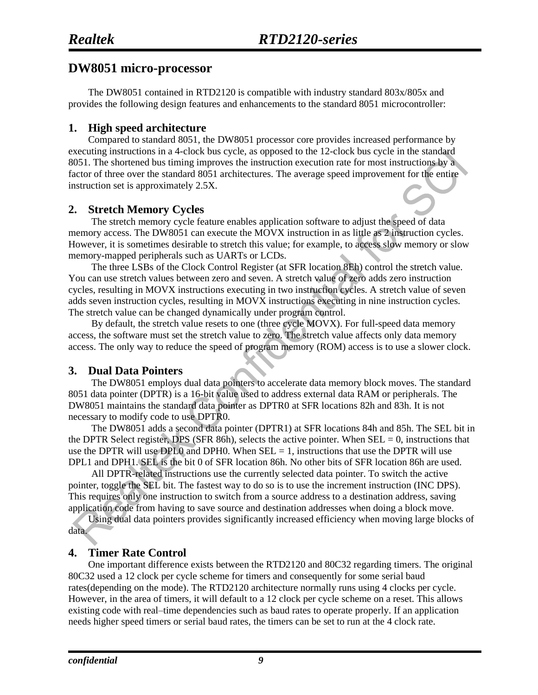#### **DW8051 micro-processor**

The DW8051 contained in RTD2120 is compatible with industry standard 803x/805x and provides the following design features and enhancements to the standard 8051 microcontroller:

#### **1. High speed architecture**

Compared to standard 8051, the DW8051 processor core provides increased performance by executing instructions in a 4-clock bus cycle, as opposed to the 12-clock bus cycle in the standard 8051. The shortened bus timing improves the instruction execution rate for most instructions by a factor of three over the standard 8051 architectures. The average speed improvement for the entire instruction set is approximately 2.5X.

#### **2. Stretch Memory Cycles**

The stretch memory cycle feature enables application software to adjust the speed of data memory access. The DW8051 can execute the MOVX instruction in as little as 2 instruction cycles. However, it is sometimes desirable to stretch this value; for example, to access slow memory or slow memory-mapped peripherals such as UARTs or LCDs.

The three LSBs of the Clock Control Register (at SFR location 8Eh) control the stretch value. You can use stretch values between zero and seven. A stretch value of zero adds zero instruction cycles, resulting in MOVX instructions executing in two instruction cycles. A stretch value of seven adds seven instruction cycles, resulting in MOVX instructions executing in nine instruction cycles. The stretch value can be changed dynamically under program control.

By default, the stretch value resets to one (three cycle MOVX). For full-speed data memory access, the software must set the stretch value to zero. The stretch value affects only data memory access. The only way to reduce the speed of program memory (ROM) access is to use a slower clock.

#### **3. Dual Data Pointers**

The DW8051 employs dual data pointers to accelerate data memory block moves. The standard 8051 data pointer (DPTR) is a 16-bit value used to address external data RAM or peripherals. The DW8051 maintains the standard data pointer as DPTR0 at SFR locations 82h and 83h. It is not necessary to modify code to use DPTR0.

The DW8051 adds a second data pointer (DPTR1) at SFR locations 84h and 85h. The SEL bit in the DPTR Select register, DPS (SFR 86h), selects the active pointer. When  $SEL = 0$ , instructions that use the DPTR will use DPL0 and DPH0. When  $SEL = 1$ , instructions that use the DPTR will use DPL1 and DPH1. SEL is the bit 0 of SFR location 86h. No other bits of SFR location 86h are used.

All DPTR-related instructions use the currently selected data pointer. To switch the active pointer, toggle the SEL bit. The fastest way to do so is to use the increment instruction (INC DPS). This requires only one instruction to switch from a source address to a destination address, saving application code from having to save source and destination addresses when doing a block move.

Using dual data pointers provides significantly increased efficiency when moving large blocks of data.

#### **4. Timer Rate Control**

One important difference exists between the RTD2120 and 80C32 regarding timers. The original 80C32 used a 12 clock per cycle scheme for timers and consequently for some serial baud rates(depending on the mode). The RTD2120 architecture normally runs using 4 clocks per cycle. However, in the area of timers, it will default to a 12 clock per cycle scheme on a reset. This allows existing code with real–time dependencies such as baud rates to operate properly. If an application needs higher speed timers or serial baud rates, the timers can be set to run at the 4 clock rate.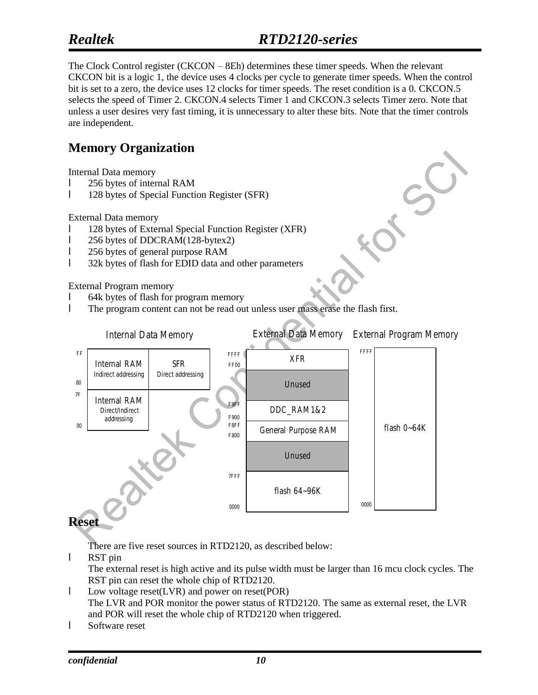### *Realtek*

 $\mathcal{S}$ 

The Clock Control register (CKCON – 8Eh) determines these timer speeds. When the relevant CKCON bit is a logic 1, the device uses 4 clocks per cycle to generate timer speeds. When the control bit is set to a zero, the device uses 12 clocks for timer speeds. The reset condition is a 0. CKCON.5 selects the speed of Timer 2. CKCON.4 selects Timer 1 and CKCON.3 selects Timer zero. Note that unless a user desires very fast timing, it is unnecessary to alter these bits. Note that the timer controls are independent.

#### **Memory Organization**

Internal Data memory

- l 256 bytes of internal RAM
- l 128 bytes of Special Function Register (SFR)

External Data memory

- l 128 bytes of External Special Function Register (XFR)
- l 256 bytes of DDCRAM(128-bytex2)
- l 256 bytes of general purpose RAM
- 1 32k bytes of flash for EDID data and other parameters

External Program memory

- l 64k bytes of flash for program memory
- l The program content can not be read out unless user mass erase the flash first.



There are five reset sources in RTD2120, as described below:

l RST pin

The external reset is high active and its pulse width must be larger than 16 mcu clock cycles. The RST pin can reset the whole chip of RTD2120.

- l Low voltage reset(LVR) and power on reset(POR) The LVR and POR monitor the power status of RTD2120. The same as external reset, the LVR and POR will reset the whole chip of RTD2120 when triggered.
- l Software reset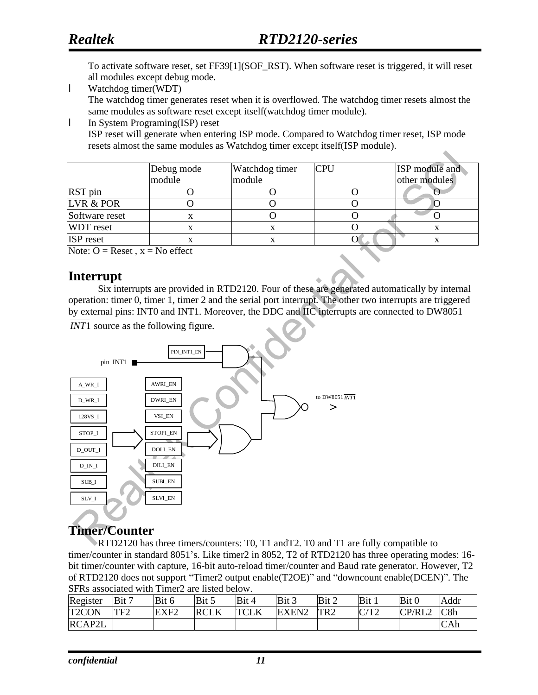To activate software reset, set FF39[1](SOF\_RST). When software reset is triggered, it will reset all modules except debug mode.

l Watchdog timer(WDT)

The watchdog timer generates reset when it is overflowed. The watchdog timer resets almost the same modules as software reset except itself(watchdog timer module).

l In System Programing(ISP) reset ISP reset will generate when entering ISP mode. Compared to Watchdog timer reset, ISP mode resets almost the same modules as Watchdog timer except itself(ISP module).

|                  | Debug mode | Watchdog timer | <b>CPU</b> | ISP module and |
|------------------|------------|----------------|------------|----------------|
|                  | module     | module         |            | other modules  |
| RST pin          |            |                |            |                |
| LVR & POR        |            |                |            |                |
| Software reset   | х          |                |            |                |
| <b>WDT</b> reset |            |                |            |                |
| <b>ISP</b> reset |            |                |            |                |

Note:  $O =$  Reset,  $x =$  No effect

#### **Interrupt**

Six interrupts are provided in RTD2120. Four of these are generated automatically by internal operation: timer 0, timer 1, timer 2 and the serial port interrupt. The other two interrupts are triggered by external pins: INT0 and INT1. Moreover, the DDC and IIC interrupts are connected to DW8051

*INT*1 source as the following figure.



#### **Timer/Counter**

RTD2120 has three timers/counters: T0, T1 andT2. T0 and T1 are fully compatible to timer/counter in standard 8051's. Like timer2 in 8052, T2 of RTD2120 has three operating modes: 16 bit timer/counter with capture, 16-bit auto-reload timer/counter and Baud rate generator. However, T2 of RTD2120 does not support "Timer2 output enable(T2OE)" and "downcount enable(DCEN)". The SFRs associated with Timer2 are listed below.

| Register     | Bit 7           | Bit 6            | Bit 5       | Bit 4       | Bit 3             | Bit 2           | Bit 1        | Bit 0  | Addr           |
|--------------|-----------------|------------------|-------------|-------------|-------------------|-----------------|--------------|--------|----------------|
| <b>T2CON</b> | TF <sub>2</sub> | EXF <sub>2</sub> | <b>RCLK</b> | <b>TCLK</b> | EXEN <sub>2</sub> | TR <sub>2</sub> | $C/T^{\sim}$ | CP/RL2 | $\mathsf{C}8h$ |
| RCAP2L       |                 |                  |             |             |                   |                 |              |        | CAh            |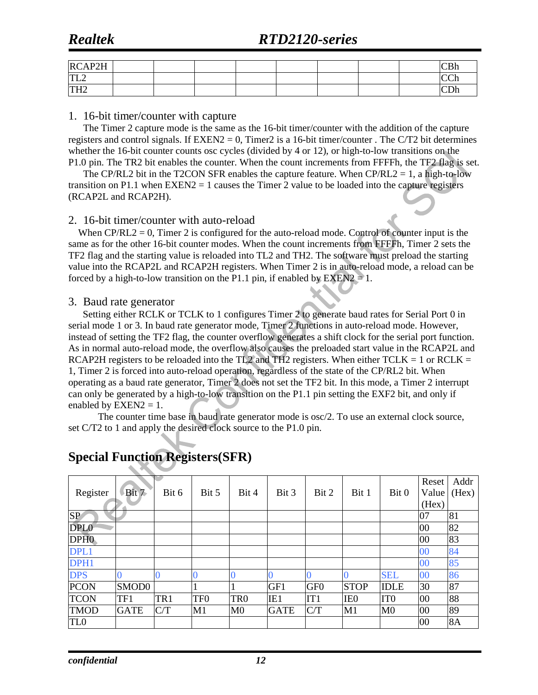#### **Realtek**

### *Realtek RTD2120-series*

| RCAP2H             |  |  |  |  | $\sim$ $\sim$ 1<br><b>CDII</b> |
|--------------------|--|--|--|--|--------------------------------|
| TTI<br>1 L L       |  |  |  |  | $\sim$ $\sim$<br>ື<br>◡        |
| <b>TH2</b><br>1112 |  |  |  |  | ີ                              |

#### 1. 16-bit timer/counter with capture

The Timer 2 capture mode is the same as the 16-bit timer/counter with the addition of the capture registers and control signals. If  $EXEN2 = 0$ , Timer2 is a 16-bit timer/counter. The C/T2 bit determines whether the 16-bit counter counts osc cycles (divided by 4 or 12), or high-to-low transitions on the P1.0 pin. The TR2 bit enables the counter. When the count increments from FFFFh, the TF2 flag is set.

The CP/RL2 bit in the T2CON SFR enables the capture feature. When  $CP/RL2 = 1$ , a high-to-low transition on P1.1 when  $EXEN2 = 1$  causes the Timer 2 value to be loaded into the capture registers (RCAP2L and RCAP2H).

#### 2. 16-bit timer/counter with auto-reload

When  $CP/RL2 = 0$ , Timer 2 is configured for the auto-reload mode. Control of counter input is the same as for the other 16-bit counter modes. When the count increments from FFFFh, Timer 2 sets the TF2 flag and the starting value is reloaded into TL2 and TH2. The software must preload the starting value into the RCAP2L and RCAP2H registers. When Timer 2 is in auto-reload mode, a reload can be forced by a high-to-low transition on the P1.1 pin, if enabled by  $EXEN2 = 1$ .

#### 3. Baud rate generator

 Setting either RCLK or TCLK to 1 configures Timer 2 to generate baud rates for Serial Port 0 in serial mode 1 or 3. In baud rate generator mode, Timer 2 functions in auto-reload mode. However, instead of setting the TF2 flag, the counter overflow generates a shift clock for the serial port function. As in normal auto-reload mode, the overflow also causes the preloaded start value in the RCAP2L and RCAP2H registers to be reloaded into the TL2 and TH2 registers. When either TCLK = 1 or RCLK = 1, Timer 2 is forced into auto-reload operation, regardless of the state of the CP/RL2 bit. When operating as a baud rate generator, Timer 2 does not set the TF2 bit. In this mode, a Timer 2 interrupt can only be generated by a high-to-low transition on the P1.1 pin setting the EXF2 bit, and only if enabled by  $EXEN2 = 1$ .

The counter time base in baud rate generator mode is osc/2. To use an external clock source, set C/T2 to 1 and apply the desired clock source to the P1.0 pin.

| Register         | Bit 7             | Bit 6 | Bit 5           | Bit 4           | Bit 3           | Bit 2           | Bit 1           | Bit 0           | Reset<br>Value | Addr<br>(Hex) |
|------------------|-------------------|-------|-----------------|-----------------|-----------------|-----------------|-----------------|-----------------|----------------|---------------|
|                  |                   |       |                 |                 |                 |                 |                 |                 | (Hex)          |               |
| SP               |                   |       |                 |                 |                 |                 |                 |                 | 07             | 81            |
| DPL <sub>0</sub> |                   |       |                 |                 |                 |                 |                 |                 | 00             | 82            |
| DPH <sub>0</sub> |                   |       |                 |                 |                 |                 |                 |                 | 00             | 83            |
| DPL1             |                   |       |                 |                 |                 |                 |                 |                 | 00             | 84            |
| DPH1             |                   |       |                 |                 |                 |                 |                 |                 | 00             | 85            |
| <b>DPS</b>       |                   |       |                 | 0               |                 |                 |                 | <b>SEL</b>      | 00             | 86            |
| <b>PCON</b>      | SMOD <sub>0</sub> |       |                 |                 | GF1             | GF <sub>0</sub> | <b>STOP</b>     | <b>IDLE</b>     | 30             | 87            |
| <b>TCON</b>      | TF1               | TR1   | TF <sub>0</sub> | TR <sub>0</sub> | IE <sub>1</sub> | IT1             | IE <sub>0</sub> | IT <sub>0</sub> | 00             | 88            |
| <b>TMOD</b>      | <b>GATE</b>       | C/T   | M1              | M <sub>0</sub>  | <b>GATE</b>     | C/T             | M1              | M <sub>0</sub>  | 00             | 89            |
| TL <sub>0</sub>  |                   |       |                 |                 |                 |                 |                 |                 | 00             | <b>8A</b>     |

### **Special Function Registers(SFR)**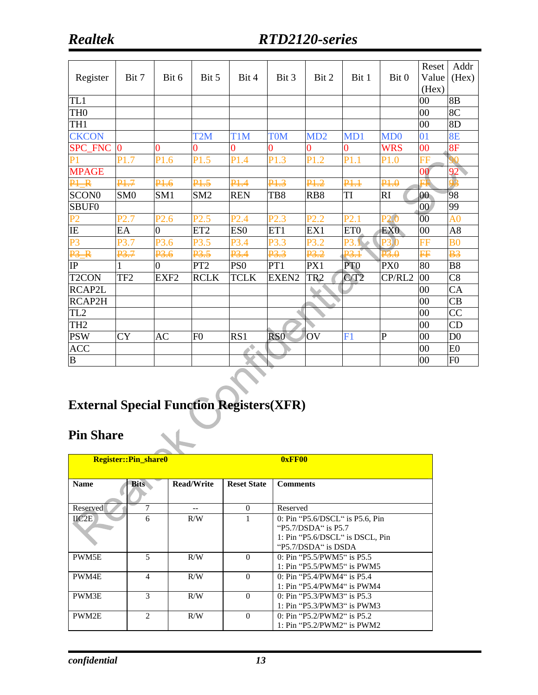| Register           | Bit 7            | Bit 6            | Bit 5            | Bit 4            | Bit 3            | Bit 2           | Bit 1            | Bit 0                                      | Reset<br>Value                               | Addr<br>(Hex)  |
|--------------------|------------------|------------------|------------------|------------------|------------------|-----------------|------------------|--------------------------------------------|----------------------------------------------|----------------|
|                    |                  |                  |                  |                  |                  |                 |                  |                                            | (Hex)                                        |                |
| TL1                |                  |                  |                  |                  |                  |                 |                  |                                            | 00                                           | 8B             |
| TH <sub>0</sub>    |                  |                  |                  |                  |                  |                 |                  |                                            | $00\,$                                       | 8C             |
| TH1                |                  |                  |                  |                  |                  |                 |                  |                                            | 00                                           | 8D             |
| <b>CKCON</b>       |                  |                  | T <sub>2</sub> M | T <sub>1</sub> M | <b>TOM</b>       | MD2             | MD1              | MD <sub>0</sub>                            | 01                                           | <b>8E</b>      |
| SPC_FNC            | $\bf{0}$         | $\overline{0}$   | $\overline{0}$   | 0                | $\overline{0}$   | 0               | $\overline{0}$   | <b>WRS</b>                                 | 0 <sup>0</sup>                               | 8F             |
| P <sub>1</sub>     | P <sub>1.7</sub> | P1.6             | P1.5             | P1.4             | P1.3             | P1.2            | P1.1             | P1.0                                       | $\overline{\mathbf{F}}\overline{\mathbf{F}}$ |                |
| <b>MPAGE</b>       |                  |                  |                  |                  |                  |                 |                  |                                            | 00                                           | 92             |
| <del>PI R</del>    | <b>P1.7</b>      | 14.6             | <b>P1.5</b>      | P1.4             | P1.3             | 12              | P <del>1.1</del> | $\overline{P_1^1 \cdot P_2^1}$             |                                              | 93             |
| SCON <sub>0</sub>  | SM <sub>0</sub>  | SM1              | SM <sub>2</sub>  | <b>REN</b>       | TB8              | RB8             | TI               | RI                                         | 00                                           | 98             |
| SBUF <sub>0</sub>  |                  |                  |                  |                  |                  |                 |                  |                                            | $00\,$                                       | 99             |
| P <sub>2</sub>     | P2.7             | P <sub>2.6</sub> | P2.5             | P2.4             | P2.3             | P2.2            | P2.1             | P <sub>2.0</sub>                           | $\overline{00}$                              | A <sub>0</sub> |
| IE                 | EA               | $\overline{0}$   | ET <sub>2</sub>  | ES <sub>0</sub>  | ET1              | EX1             | ET <sub>0</sub>  | EX <sub>0</sub>                            | $00\,$                                       | A8             |
| P <sub>3</sub>     | P3.7             | P3.6             | P3.5             | P3.4             | P3.3             | P3.2            | P3.1             | P3.0                                       | FF                                           | B <sub>0</sub> |
| $\overline{P_3}$   | <b>P3.7</b>      | ₽3.6             | P <sub>3.5</sub> | 12.4             | P <sub>3.3</sub> | <u>p3,2</u>     | $\frac{1}{2}$    | $\overline{\mathbf{P}^2 \cdot \mathbf{Q}}$ | pp                                           | $\frac{1}{2}$  |
| IP                 |                  | $\overline{0}$   | PT <sub>2</sub>  | PS <sub>0</sub>  | PT1              | PX1             | PT <sub>0</sub>  | PX <sub>0</sub>                            | 80                                           | <b>B8</b>      |
| T <sub>2</sub> CON | TF <sub>2</sub>  | EXF <sub>2</sub> | <b>RCLK</b>      | <b>TCLK</b>      | EXEN2            | TR <sub>2</sub> | C/T2             | CP/RL2                                     | 00                                           | C8             |
| RCAP2L             |                  |                  |                  |                  |                  |                 |                  |                                            | 00                                           | CA             |
| RCAP2H             |                  |                  |                  |                  |                  |                 |                  |                                            | 00                                           | CB             |
| TL <sub>2</sub>    |                  |                  |                  |                  |                  |                 |                  |                                            | 00                                           | CC             |
| TH <sub>2</sub>    |                  |                  |                  |                  |                  |                 |                  |                                            | 00                                           | CD             |
| <b>PSW</b>         | <b>CY</b>        | <b>AC</b>        | F <sub>0</sub>   | RS1              | RS <sub>0</sub>  | OV              | F1               | P                                          | 00                                           | D <sub>0</sub> |
| $AC\overline{C}$   |                  |                  |                  | ٠                |                  |                 |                  |                                            | 00                                           | E <sub>0</sub> |
| $\overline{B}$     |                  |                  |                  |                  |                  |                 |                  |                                            | 00                                           | F <sub>0</sub> |

# **External Special Function Registers(XFR)**

### **Pin Share**

|               | <b>Register::Pin share0</b> |                   | 0xFF00             |                                                                                                                        |  |  |  |
|---------------|-----------------------------|-------------------|--------------------|------------------------------------------------------------------------------------------------------------------------|--|--|--|
| <b>Name</b>   | <b>Bits</b>                 | <b>Read/Write</b> | <b>Reset State</b> | <b>Comments</b>                                                                                                        |  |  |  |
| Reserved      | 7                           |                   | $\Omega$           | Reserved                                                                                                               |  |  |  |
| $\text{HC2E}$ | 6                           | R/W               |                    | 0: Pin "P5.6/DSCL" is P5.6, Pin<br>" $P5.7/DSDA$ " is $P5.7$<br>1: Pin "P5.6/DSCL" is DSCL, Pin<br>"P5.7/DSDA" is DSDA |  |  |  |
| PWM5E         | 5                           | R/W               | $\Omega$           | 0: Pin "P5.5/PWM5" is P5.5<br>1: Pin "P5.5/PWM5" is PWM5                                                               |  |  |  |
| PWM4E         | $\overline{4}$              | R/W               | $\Omega$           | 0: Pin "P5.4/PWM4" is $P5.4$<br>1: Pin "P5.4/PWM4" is PWM4                                                             |  |  |  |
| PWM3E         | 3                           | R/W               | $\Omega$           | 0: Pin "P5.3/PWM3" is P5.3<br>1: Pin "P5.3/PWM3" is PWM3                                                               |  |  |  |
| PWM2E         | 2                           | R/W               | $\Omega$           | 0: Pin "P5.2/PWM2" is P5.2<br>1: Pin "P5.2/PWM2" is PWM2                                                               |  |  |  |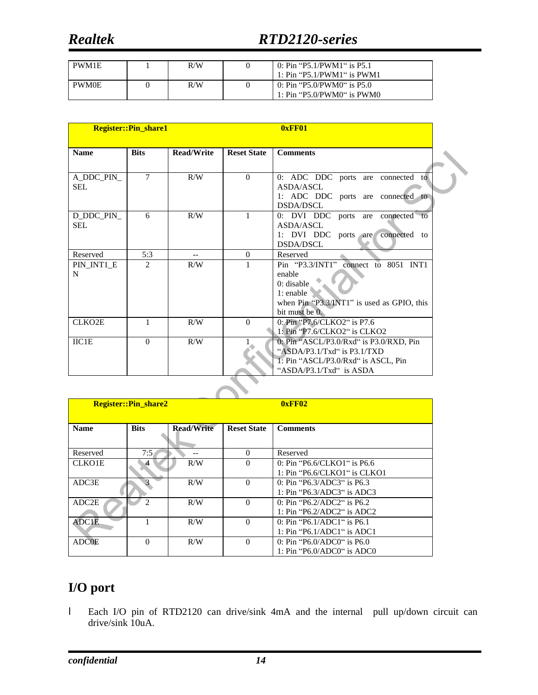## *Realtek RTD2120-series*

| PWM1E        | R/W | 0: Pin "P5.1/PWM1" is P5.1<br>1: $Pin$ "P5.1/PWM1" is PWM1 |
|--------------|-----|------------------------------------------------------------|
| <b>PWM0E</b> | R/W | 0: Pin "P5.0/PWM0" is P5.0<br>1: Pin "P5.0/PWM0" is $PWM0$ |

|                     | <b>Register::Pin_share1</b> |                          |                    | 0xFF01                                            |  |
|---------------------|-----------------------------|--------------------------|--------------------|---------------------------------------------------|--|
| <b>Name</b>         | <b>Bits</b>                 | <b>Read/Write</b>        | <b>Reset State</b> | <b>Comments</b>                                   |  |
|                     |                             |                          |                    |                                                   |  |
| A_DDC_PIN_          | $\tau$                      | R/W                      | $\Omega$           | $\overline{0}$ : ADC DDC ports are connected to   |  |
| <b>SEL</b>          |                             |                          |                    | ASDA/ASCL                                         |  |
|                     |                             |                          |                    | 1: ADC DDC ports are connected to                 |  |
|                     |                             |                          |                    | <b>DSDA/DSCL</b>                                  |  |
| D_DDC_PIN_          | 6                           | R/W                      | 1                  | 0: DVI DDC ports are connected to                 |  |
| SEL.                |                             |                          |                    | ASDA/ASCL                                         |  |
|                     |                             |                          |                    | 1: DVI DDC ports are<br>connected to<br>DSDA/DSCL |  |
| Reserved            | 5:3                         | $\overline{\phantom{a}}$ | $\Omega$           | Reserved                                          |  |
| PIN INT1 E          | $\mathfrak{D}$              | R/W                      | 1                  | Pin "P3.3/INT1" connect to 8051 INT1              |  |
| N                   |                             |                          |                    | enable                                            |  |
|                     |                             |                          |                    | $0:$ disable                                      |  |
|                     |                             |                          |                    | $1:$ enable                                       |  |
|                     |                             |                          |                    | when Pin "P3.3/INT1" is used as GPIO, this        |  |
|                     |                             |                          |                    | bit must be 0.                                    |  |
| CLKO <sub>2</sub> E | 1                           | R/W                      | $\theta$           | 0: Pin "P7.6/CLKO2" is P7.6                       |  |
|                     |                             |                          |                    | 1: Pin "P7.6/CLKO2" is CLKO2                      |  |
| IIC1E               | $\Omega$                    | R/W                      |                    | 0: Pin "ASCL/P3.0/Rxd" is P3.0/RXD, Pin           |  |
|                     |                             |                          |                    | "ASDA/P3.1/Txd" is $P3.1/TXD$                     |  |
|                     |                             |                          |                    | T: Pin "ASCL/P3.0/Rxd" is ASCL, Pin               |  |
|                     |                             |                          |                    | "ASDA/P3.1/Txd" is ASDA                           |  |
|                     |                             |                          |                    |                                                   |  |

|                   | <b>Register::Pin share2</b> |                   |                    | 0xFF02                          |
|-------------------|-----------------------------|-------------------|--------------------|---------------------------------|
| <b>Name</b>       | <b>Bits</b>                 | <b>Read/Write</b> | <b>Reset State</b> | <b>Comments</b>                 |
|                   |                             |                   |                    |                                 |
| Reserved          | 7:5                         |                   | $\Omega$           | Reserved                        |
| <b>CLKO1E</b>     |                             | R/W               | $\Omega$           | 0: Pin "P6.6/CLKO1" is P6.6     |
|                   |                             |                   |                    | $1: P$ in "P6.6/CLKO1" is CLKO1 |
| ADC3E             |                             | R/W               | $\Omega$           | 0: Pin "P6.3/ADC3" is $P6.3$    |
|                   |                             |                   |                    | 1: Pin "P6.3/ADC3" is ADC3      |
| ADC <sub>2E</sub> | っ                           | R/W               | $\Omega$           | 0: Pin "P6.2/ADC2" is $P6.2$    |
|                   |                             |                   |                    | 1: Pin "P6.2/ADC2" is ADC2      |
| ADC1E             |                             | R/W               | $\Omega$           | 0: Pin "P6.1/ADC1" is $P6.1$    |
|                   |                             |                   |                    | 1: Pin "P6.1/ADC1" is ADC1      |
| <b>ADCOE</b>      | $\Omega$                    | R/W               | $\Omega$           | 0: Pin "P6.0/ADC0" is P6.0      |
|                   |                             |                   |                    | 1: Pin "P6.0/ADC0" is ADC0      |

### **I/O port**

l Each I/O pin of RTD2120 can drive/sink 4mA and the internal pull up/down circuit can drive/sink 10uA.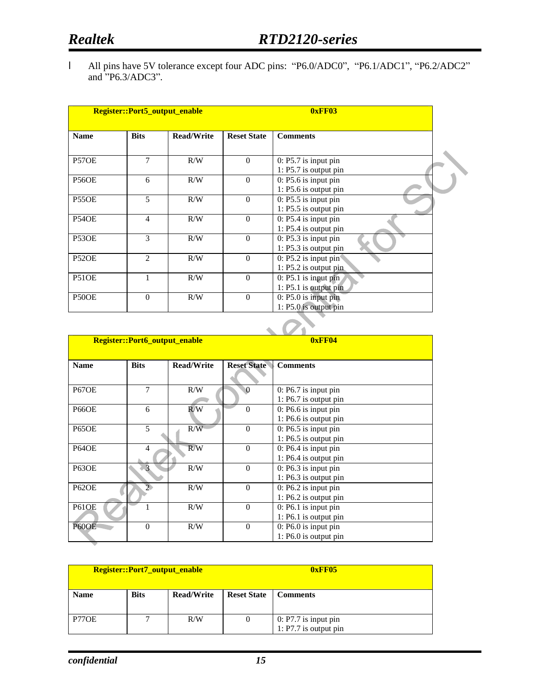l All pins have 5V tolerance except four ADC pins: "P6.0/ADC0", "P6.1/ADC1", "P6.2/ADC2" and "P6.3/ADC3".

| <b>Bits</b>    | <b>Read/Write</b> | <b>Reset State</b> | <b>Comments</b>                                              |
|----------------|-------------------|--------------------|--------------------------------------------------------------|
| $\overline{7}$ | R/W               | $\Omega$           | $0: P5.7$ is input pin<br>1: P5.7 is output pin              |
| 6              | R/W               | $\Omega$           | $0: P5.6$ is input pin<br>1: P5.6 is output pin              |
| 5              | R/W               | $\Omega$           | $0: P5.5$ is input pin<br>1: $P5.5$ is output pin            |
| $\overline{4}$ | R/W               | $\Omega$           | 0: P5.4 is input pin<br>1: P5.4 is output pin                |
| 3              | R/W               | $\Omega$           | $\overline{0:}$ P5.3 is input pin<br>$1: P5.3$ is output pin |
| $\mathfrak{D}$ | R/W               | $\Omega$           | $0: P5.2$ is input pin<br>1: P5.2 is output pin              |
|                | R/W               | $\Omega$           | $0:$ P5.1 is input pin<br>1: P5.1 is output pin              |
| $\Omega$       | R/W               | $\mathbf{0}$       | $0: P5.0$ is input pin<br>1: P5.0 is output pin              |
|                |                   |                    |                                                              |

|              | <b>Register::Port6_output_enable</b> |                   |                    | 0xFF04                                            |
|--------------|--------------------------------------|-------------------|--------------------|---------------------------------------------------|
| <b>Name</b>  | <b>Bits</b>                          | <b>Read/Write</b> | <b>Reset State</b> | <b>Comments</b>                                   |
| <b>P67OE</b> | 7                                    | R/W               | $\mathbf{0}$       | $0: P6.7$ is input pin<br>1: $P6.7$ is output pin |
| <b>P66OE</b> | 6                                    | R/W               | $\Omega$           | 0: P6.6 is input pin<br>$1: P6.6$ is output pin   |
| <b>P65OE</b> | 5                                    | R/W               | $\Omega$           | $0: P6.5$ is input pin<br>1: $P6.5$ is output pin |
| <b>P64OE</b> | 4                                    | R/W               | $\theta$           | $0: P6.4$ is input pin<br>$1: P6.4$ is output pin |
| <b>P63OE</b> | 3                                    | R/W               | $\Omega$           | $0: P6.3$ is input pin<br>1: $P6.3$ is output pin |
| <b>P62OE</b> | $\overline{2}$                       | R/W               | $\theta$           | $0: P6.2$ is input pin<br>1: P6.2 is output pin   |
| <b>P61OE</b> |                                      | R/W               | $\Omega$           | $0:$ P6.1 is input pin<br>1: P6.1 is output pin   |
| P60OE        | $\mathbf{0}$                         | R/W               | $\theta$           | $0: P6.0$ is input pin<br>$1: P6.0$ is output pin |

| <b>Register::Port7_output_enable</b> |             |                   | 0xFF05             |                                                   |  |
|--------------------------------------|-------------|-------------------|--------------------|---------------------------------------------------|--|
| <b>Name</b>                          | <b>Bits</b> | <b>Read/Write</b> | <b>Reset State</b> | <b>Comments</b>                                   |  |
| P77OE                                |             | R/W               |                    | $0: P7.7$ is input pin<br>$1: P7.7$ is output pin |  |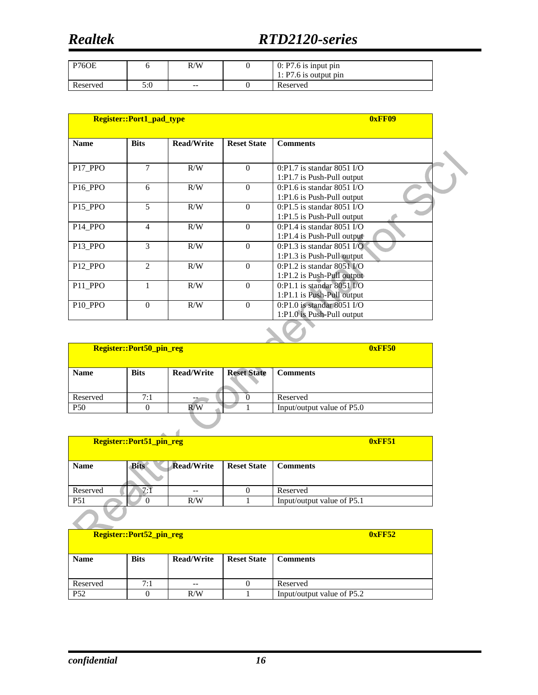| <b>P76OE</b> |     | R/W   | $0: P7.6$ is input pin<br>1: $P7.6$ is output pin |
|--------------|-----|-------|---------------------------------------------------|
| Reserved     | 5:0 | $- -$ | Reserved                                          |

|                                 | <b>Register::Port1_pad_type</b> |                   |                    | 0xFF09                                                         |  |
|---------------------------------|---------------------------------|-------------------|--------------------|----------------------------------------------------------------|--|
| <b>Name</b>                     | <b>Bits</b>                     | <b>Read/Write</b> | <b>Reset State</b> | <b>Comments</b>                                                |  |
| P <sub>17</sub> P <sub>PO</sub> | $\tau$                          | R/W               | $\Omega$           | $0:$ P1.7 is standar 8051 I/O<br>1:P1.7 is Push-Pull output    |  |
| P <sub>16</sub> PPO             | 6                               | R/W               | $\theta$           | $0:$ P1.6 is standar 8051 I/O<br>1:P1.6 is Push-Pull output    |  |
| P <sub>15</sub> PPO             | 5                               | R/W               | $\Omega$           | $0:P1.5$ is standar 8051 I/O<br>1:P1.5 is Push-Pull output     |  |
| P <sub>14</sub> P <sub>PO</sub> | 4                               | R/W               | $\Omega$           | $0:$ P1.4 is standar 8051 I/O<br>1: $P1.4$ is Push-Pull output |  |
| P13 PPO                         | 3                               | R/W               | $\Omega$           | $0:P1.3$ is standar 8051 I/O<br>1:P1.3 is Push-Pull output     |  |
| P <sub>12</sub> P <sub>PO</sub> | $\mathfrak{D}$                  | R/W               | $\Omega$           | $0:$ P1.2 is standar 8051 $V$ O<br>1:P1.2 is Push-Pull output  |  |
| P <sub>11</sub> P <sub>PO</sub> |                                 | R/W               | $\Omega$           | $0:$ P1.1 is standar 8051 I/O<br>1:P1.1 is Push-Pull output    |  |
| P <sub>10</sub> P <sub>PO</sub> | $\Omega$                        | R/W               | $\theta$           | $0:$ P1.0 is standar 8051 I/O<br>1:P1.0 is Push-Pull output    |  |

| <b>Register::Port50_pin_reg</b> |             |                   |                    | <b>0xFF50</b>              |
|---------------------------------|-------------|-------------------|--------------------|----------------------------|
| <b>Name</b>                     | <b>Bits</b> | <b>Read/Write</b> | <b>Reset State</b> | <b>Comments</b>            |
| Reserved                        | 7:1         |                   |                    | Reserved                   |
| <b>P50</b>                      |             | R/W               |                    | Input/output value of P5.0 |
|                                 |             |                   |                    |                            |

| <b>Register::Port51_pin_reg</b> |             |                   |                    | 0xFF51                     |
|---------------------------------|-------------|-------------------|--------------------|----------------------------|
| <b>Name</b>                     | <b>Bits</b> | <b>Read/Write</b> | <b>Reset State</b> | <b>Comments</b>            |
| Reserved                        | 7:1         | $- -$             |                    | Reserved                   |
| P <sub>51</sub>                 | O           | R/W               |                    | Input/output value of P5.1 |
|                                 |             |                   |                    |                            |

|                 | <b>Register::Port52_pin_reg</b> |                   | 0xFF52             |                            |
|-----------------|---------------------------------|-------------------|--------------------|----------------------------|
| <b>Name</b>     | <b>Bits</b>                     | <b>Read/Write</b> | <b>Reset State</b> | <b>Comments</b>            |
|                 |                                 |                   |                    |                            |
| Reserved        | 7:1                             | $- -$             |                    | Reserved                   |
| P <sub>52</sub> |                                 | R/W               |                    | Input/output value of P5.2 |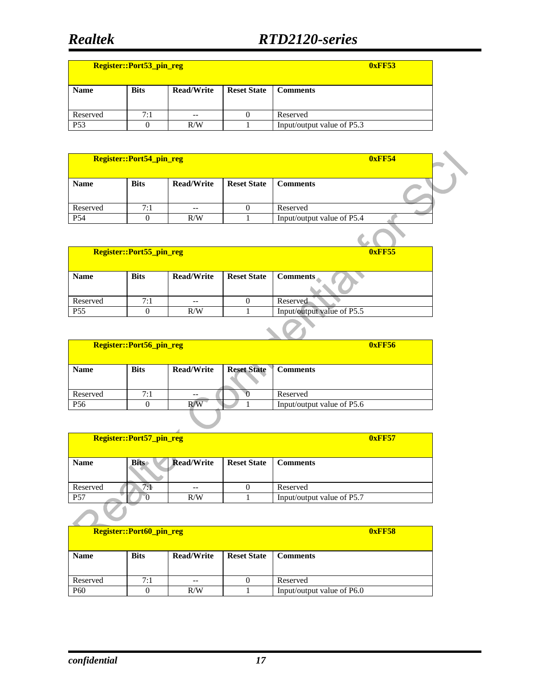| <b>Register::Port53 pin reg</b> |             |                   |                    | 0xFF53                     |
|---------------------------------|-------------|-------------------|--------------------|----------------------------|
| <b>Name</b>                     | <b>Bits</b> | <b>Read/Write</b> | <b>Reset State</b> | <b>Comments</b>            |
| Reserved                        | 7:1         | $- -$             |                    | Reserved                   |
| P <sub>53</sub>                 |             | R/W               |                    | Input/output value of P5.3 |

|                 | <b>Register::Port54_pin_reg</b> |                   |                    |                            | <b>0xFF54</b> |  |
|-----------------|---------------------------------|-------------------|--------------------|----------------------------|---------------|--|
| <b>Name</b>     | <b>Bits</b>                     | <b>Read/Write</b> | <b>Reset State</b> | <b>Comments</b>            |               |  |
| Reserved        | 7:1                             | --                |                    | Reserved                   |               |  |
| P <sub>54</sub> |                                 | R/W               |                    | Input/output value of P5.4 |               |  |
|                 |                                 |                   |                    |                            |               |  |

|                 | Register::Port55_pin_reg |                   | 0xFF55             |                            |
|-----------------|--------------------------|-------------------|--------------------|----------------------------|
|                 |                          |                   |                    |                            |
| <b>Name</b>     | <b>Bits</b>              | <b>Read/Write</b> | <b>Reset State</b> | <b>Comments</b>            |
|                 |                          |                   |                    |                            |
| Reserved        | 7:1                      | $- -$             |                    | Reserved                   |
| P <sub>55</sub> |                          | R/W               |                    | Input/output value of P5.5 |

|                 | Register::Port56_pin_reg |                   |                    | <b>0xFF56</b>              |
|-----------------|--------------------------|-------------------|--------------------|----------------------------|
|                 |                          |                   |                    |                            |
| <b>Name</b>     | <b>Bits</b>              | <b>Read/Write</b> | <b>Reset State</b> | <b>Comments</b>            |
|                 |                          |                   |                    |                            |
| Reserved        | 7:1                      | --                |                    | Reserved                   |
| P <sub>56</sub> | 0                        | R/W               |                    | Input/output value of P5.6 |
|                 |                          |                   |                    |                            |

| <b>Register::Port57_pin_reg</b> |             |                   |                    | 0xFF57                     |
|---------------------------------|-------------|-------------------|--------------------|----------------------------|
| <b>Name</b>                     | <b>Bits</b> | <b>Read/Write</b> | <b>Reset State</b> | <b>Comments</b>            |
| Reserved                        | 7.1         | --                |                    | Reserved                   |
| P <sub>57</sub>                 |             | R/W               |                    | Input/output value of P5.7 |

|                 | <b>Register::Port60_pin_reg</b> |                   | 0xFF58             |                            |  |  |
|-----------------|---------------------------------|-------------------|--------------------|----------------------------|--|--|
|                 |                                 |                   |                    |                            |  |  |
|                 |                                 |                   |                    |                            |  |  |
| <b>Name</b>     | <b>Bits</b>                     | <b>Read/Write</b> | <b>Reset State</b> | <b>Comments</b>            |  |  |
|                 |                                 |                   |                    |                            |  |  |
|                 |                                 |                   |                    |                            |  |  |
| Reserved        | 7:1                             | $- -$             |                    | Reserved                   |  |  |
| P <sub>60</sub> |                                 | R/W               |                    | Input/output value of P6.0 |  |  |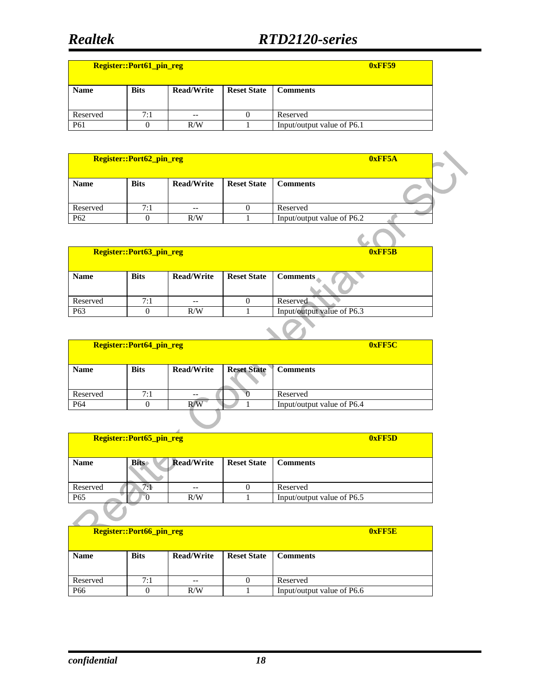| <b>Register::Port61_pin_reg</b> |             |                   |                    | 0xFF59                     |
|---------------------------------|-------------|-------------------|--------------------|----------------------------|
| <b>Name</b>                     | <b>Bits</b> | <b>Read/Write</b> | <b>Reset State</b> | <b>Comments</b>            |
| Reserved                        | 7:1         | $- -$             |                    | Reserved                   |
| P <sub>61</sub>                 |             | R/W               |                    | Input/output value of P6.1 |

| Register::Port62_pin_reg |             |                   |                    | 0xFF5A                     |  |
|--------------------------|-------------|-------------------|--------------------|----------------------------|--|
| <b>Name</b>              | <b>Bits</b> | <b>Read/Write</b> | <b>Reset State</b> | <b>Comments</b>            |  |
| Reserved                 | 7:1         | --                |                    | Reserved                   |  |
| P <sub>62</sub>          |             | R/W               |                    | Input/output value of P6.2 |  |
|                          |             |                   |                    |                            |  |

|                 | <b>Register::Port63_pin_reg</b> |                   | 0xFF5B             |                            |
|-----------------|---------------------------------|-------------------|--------------------|----------------------------|
| <b>Name</b>     | <b>Bits</b>                     | <b>Read/Write</b> | <b>Reset State</b> | <b>Comments</b>            |
| Reserved        | 7:1                             | $- -$             |                    | Reserved                   |
| P <sub>63</sub> |                                 | R/W               |                    | Input/output value of P6.3 |
|                 |                                 |                   |                    |                            |

| Register::Port64_pin_reg |             |                   |                    | 0xFF5C                     |
|--------------------------|-------------|-------------------|--------------------|----------------------------|
| <b>Name</b>              | <b>Bits</b> | <b>Read/Write</b> | <b>Reset State</b> | <b>Comments</b>            |
| Reserved                 | 7:1         | --                |                    | Reserved                   |
| P <sub>64</sub>          | 0           | R/W               |                    | Input/output value of P6.4 |
|                          |             |                   |                    |                            |

| <b>Register::Port65_pin_reg</b> |             |                   |                    | 0xFF5D                     |
|---------------------------------|-------------|-------------------|--------------------|----------------------------|
| <b>Name</b>                     | <b>Bits</b> | <b>Read/Write</b> | <b>Reset State</b> | <b>Comments</b>            |
| Reserved                        | 7:1         | --                |                    | Reserved                   |
| P <sub>65</sub>                 |             | R/W               |                    | Input/output value of P6.5 |

| <b>Register::Port66_pin_reg</b> |             |                   |                    | 0xFF5E                     |
|---------------------------------|-------------|-------------------|--------------------|----------------------------|
| <b>Name</b>                     | <b>Bits</b> | <b>Read/Write</b> | <b>Reset State</b> | <b>Comments</b>            |
| Reserved                        | 7:1         | $- -$             |                    | Reserved                   |
| P <sub>66</sub>                 |             | R/W               |                    | Input/output value of P6.6 |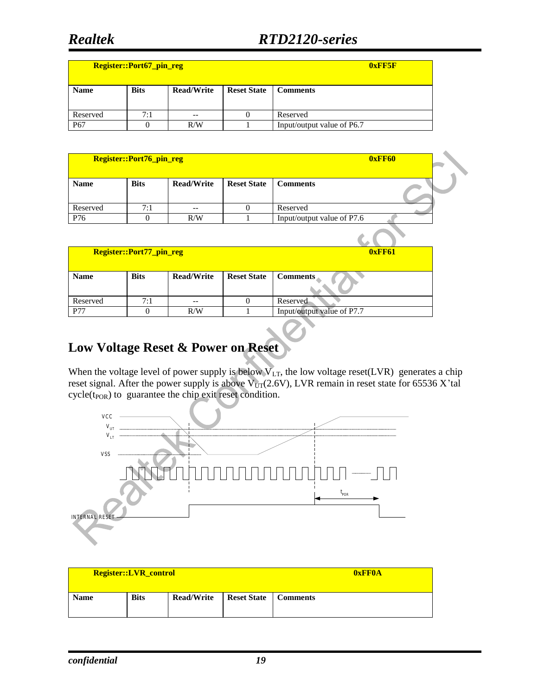| Register::Port67_pin_reg |             |                   |                    | 0xFF5F                     |
|--------------------------|-------------|-------------------|--------------------|----------------------------|
| <b>Name</b>              | <b>Bits</b> | <b>Read/Write</b> | <b>Reset State</b> | <b>Comments</b>            |
| Reserved                 | 7:1         | $- -$             |                    | Reserved                   |
| P <sub>67</sub>          |             | R/W               |                    | Input/output value of P6.7 |

| Register::Port76_pin_reg |             |                   |                    |                            | 0xFF60 |  |
|--------------------------|-------------|-------------------|--------------------|----------------------------|--------|--|
| <b>Name</b>              | <b>Bits</b> | <b>Read/Write</b> | <b>Reset State</b> | <b>Comments</b>            |        |  |
| Reserved                 | 7:1         | $- -$             |                    | Reserved                   |        |  |
| P76                      |             | R/W               |                    | Input/output value of P7.6 |        |  |
|                          |             |                   |                    |                            |        |  |

|             | Register::Port77_pin_reg |                   | <b>0xFF61</b>      |                            |
|-------------|--------------------------|-------------------|--------------------|----------------------------|
|             |                          |                   |                    |                            |
| <b>Name</b> | <b>Bits</b>              | <b>Read/Write</b> | <b>Reset State</b> | <b>Comments</b>            |
|             |                          |                   |                    |                            |
| Reserved    | 7:1                      |                   |                    | Reserved                   |
| <b>P77</b>  |                          | R/W               |                    | Input/output value of P7.7 |

#### **Low Voltage Reset & Power on Reset**

When the voltage level of power supply is below  $V_{LT}$ , the low voltage reset(LVR) generates a chip reset signal. After the power supply is above  $V_{UT}(2.6V)$ , LVR remain in reset state for 65536 X'tal  $cycle(t_{POR})$  to guarantee the chip exit reset condition.



| <b>Register::LVR_control</b> |             |                   |                               | <b>OxFFOA</b> |
|------------------------------|-------------|-------------------|-------------------------------|---------------|
| <b>Name</b>                  | <b>Bits</b> | <b>Read/Write</b> | <b>Reset State</b>   Comments |               |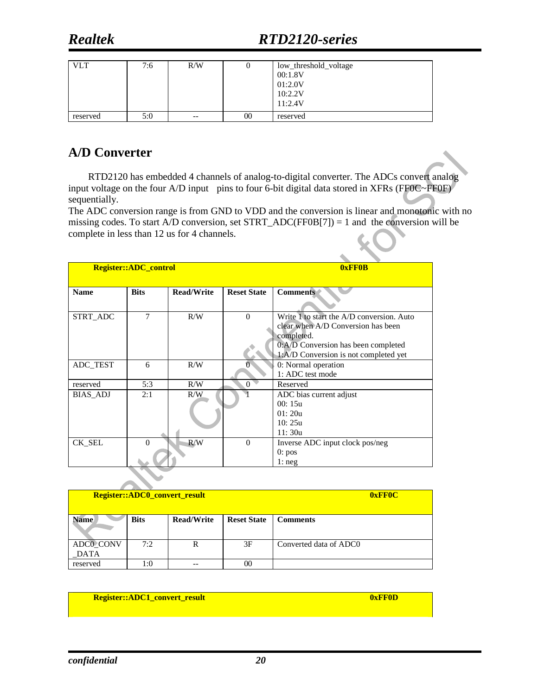| <b>VLT</b> | 7:6 | R/W   |    | low_threshold_voltage<br>00:1.8V<br>01:2.0V<br>10:2.2V<br>11:2.4V |
|------------|-----|-------|----|-------------------------------------------------------------------|
| reserved   | 5:0 | $- -$ | 00 | reserved                                                          |

#### **A/D Converter**

RTD2120 has embedded 4 channels of analog-to-digital converter. The ADCs convert analog input voltage on the four A/D input pins to four 6-bit digital data stored in XFRs (FF0C~FF0F) sequentially.

The ADC conversion range is from GND to VDD and the conversion is linear and monotonic with no missing codes. To start A/D conversion, set STRT\_ADC(FF0B[7]) = 1 and the conversion will be complete in less than 12 us for 4 channels.

|                 | <b>Register::ADC_control</b> |                   |                    | 0xFF0B                                    |  |  |
|-----------------|------------------------------|-------------------|--------------------|-------------------------------------------|--|--|
|                 |                              |                   |                    |                                           |  |  |
| <b>Name</b>     | <b>Bits</b>                  | <b>Read/Write</b> | <b>Reset State</b> | <b>Comments</b>                           |  |  |
|                 |                              |                   |                    |                                           |  |  |
| STRT_ADC        | 7                            | R/W               | $\Omega$           | Write 1 to start the A/D conversion. Auto |  |  |
|                 |                              |                   |                    | clear when A/D Conversion has been        |  |  |
|                 |                              |                   |                    | completed.                                |  |  |
|                 |                              |                   |                    | 0:A/D Conversion has been completed       |  |  |
|                 |                              |                   |                    | 1:A/D Conversion is not completed yet     |  |  |
| ADC_TEST        | 6                            | R/W               |                    | 0: Normal operation                       |  |  |
|                 |                              |                   |                    | 1: ADC test mode                          |  |  |
| reserved        | 5:3                          | R/W               | $\Omega$           | Reserved                                  |  |  |
| <b>BIAS_ADJ</b> | 2:1                          | R/W               |                    | ADC bias current adjust                   |  |  |
|                 |                              |                   |                    | 00:15u                                    |  |  |
|                 |                              |                   |                    | 01:20u                                    |  |  |
|                 |                              |                   |                    | 10:25u                                    |  |  |
|                 |                              |                   |                    | 11:30u                                    |  |  |
| CK SEL          | $\Omega$                     | R/W               | $\Omega$           | Inverse ADC input clock pos/neg           |  |  |
|                 |                              |                   |                    | 0:pos                                     |  |  |
|                 |                              |                   |                    | 1: neg                                    |  |  |

|                          | Register::ADC0_convert_result |                   | <b>OxFFOC</b>      |                        |
|--------------------------|-------------------------------|-------------------|--------------------|------------------------|
| <b>Name</b>              | <b>Bits</b>                   | <b>Read/Write</b> | <b>Reset State</b> | <b>Comments</b>        |
| <b>ADCO CONV</b><br>DATA | 7:2                           | R                 | 3F                 | Converted data of ADC0 |
| reserved                 | l:0                           |                   | $00\,$             |                        |

**Register::ADC1\_convert\_result 1 and 1 and 1 and 1 and 1 and 1 and 1 and 1 and 1 and 1 and 1 and 1 and 1 and 1 and 1 and 1 and 1 and 1 and 1 and 1 and 1 and 1 and 1 and 1 and 1 and 1 and 1 and 1 and 1 and 1 and 1 and 1 and**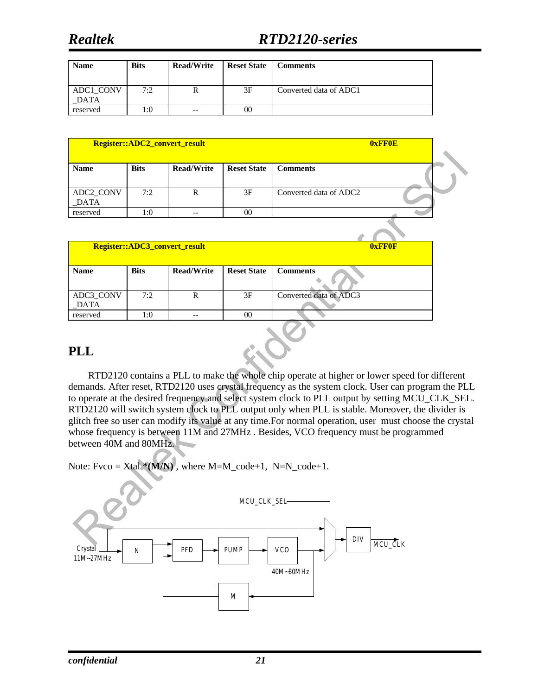## *Realtek RTD2120-series*

| <b>Name</b>              | <b>Bits</b> | <b>Read/Write</b> | <b>Reset State</b> | <b>Comments</b>        |
|--------------------------|-------------|-------------------|--------------------|------------------------|
| ADC1 CONV<br><b>DATA</b> | 7:2         |                   | 3F                 | Converted data of ADC1 |
| reserved                 | 1:0         | $- -$             | 00                 |                        |

| Register::ADC2_convert_result |             |                   |                    |                                    | 0xFF0E |
|-------------------------------|-------------|-------------------|--------------------|------------------------------------|--------|
| <b>Name</b>                   | <b>Bits</b> | <b>Read/Write</b> | <b>Reset State</b> | <b>Comments</b>                    |        |
| ADC2_CONV<br>DATA             | 7:2         | R                 | 3F                 | Converted data of ADC <sub>2</sub> |        |
| reserved                      | 1:0         |                   | 00                 |                                    |        |

|                   |             | Register::ADC3_convert_result |                    | <b>OxFFOF</b>          |
|-------------------|-------------|-------------------------------|--------------------|------------------------|
| <b>Name</b>       | <b>Bits</b> | <b>Read/Write</b>             | <b>Reset State</b> | <b>Comments</b>        |
| ADC3_CONV<br>DATA | 7:2         | $\mathbb{R}$                  | 3F                 | Converted data of ADC3 |
| reserved          | 1:0         | --                            | $00\,$             |                        |
| <b>PLL</b>        |             |                               |                    |                        |

#### **PLL**

RTD2120 contains a PLL to make the whole chip operate at higher or lower speed for different demands. After reset, RTD2120 uses crystal frequency as the system clock. User can program the PLL to operate at the desired frequency and select system clock to PLL output by setting MCU\_CLK\_SEL. RTD2120 will switch system clock to PLL output only when PLL is stable. Moreover, the divider is glitch free so user can modify its value at any time.For normal operation, user must choose the crystal whose frequency is between 11M and 27MHz . Besides, VCO frequency must be programmed between 40M and 80MHz.

Note: Fvco =  $Xtal*(M/N)$ , where M=M\_code+1, N=N\_code+1.

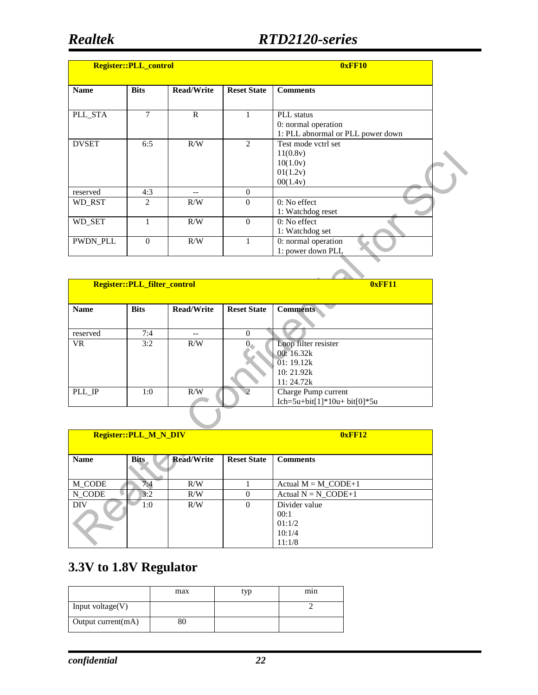| <b>Register:: PLL_control</b> |                |                   |                    | 0xFF10                                                                 |
|-------------------------------|----------------|-------------------|--------------------|------------------------------------------------------------------------|
| <b>Name</b>                   | <b>Bits</b>    | <b>Read/Write</b> | <b>Reset State</b> | <b>Comments</b>                                                        |
| PLL_STA                       | 7              | $\mathbb{R}$      | 1                  | PLL status<br>0: normal operation<br>1: PLL abnormal or PLL power down |
| <b>DVSET</b>                  | 6:5            | R/W               | 2                  | Test mode yctrl set<br>11(0.8v)<br>10(1.0v)<br>01(1.2v)<br>00(1.4v)    |
| reserved                      | 4:3            |                   | $\theta$           |                                                                        |
| WD_RST                        | $\mathfrak{D}$ | R/W               | $\Omega$           | 0: No effect<br>1: Watchdog reset                                      |
| WD_SET                        |                | R/W               | $\Omega$           | 0: No effect<br>1: Watchdog set                                        |
| PWDN_PLL                      | $\theta$       | R/W               | 1                  | 0: normal operation<br>1: power down PLL                               |

| <b>Register::PLL_filter_control</b> |             |                   |                    | 0xFF11                       |  |  |
|-------------------------------------|-------------|-------------------|--------------------|------------------------------|--|--|
| <b>Name</b>                         | <b>Bits</b> | <b>Read/Write</b> | <b>Reset State</b> | <b>Comments</b>              |  |  |
|                                     |             |                   |                    |                              |  |  |
| reserved                            | 7:4         |                   | $\Omega$           |                              |  |  |
| <b>VR</b>                           | 3:2         | R/W               |                    | Loop filter resister         |  |  |
|                                     |             |                   |                    | 00: $16.32k$                 |  |  |
|                                     |             |                   |                    | 01:19.12k                    |  |  |
|                                     |             |                   |                    | 10:21.92k                    |  |  |
|                                     |             |                   |                    | 11:24.72k                    |  |  |
| PLL IP                              | 1:0         | R/W               | ာ                  | Charge Pump current          |  |  |
|                                     |             |                   |                    | Ich=5u+bit[1]*10u+ bit[0]*5u |  |  |
|                                     |             |                   |                    |                              |  |  |

| <b>Register::PLL M N DIV</b> |             |                   |                    | 0xFF12                                              |  |  |
|------------------------------|-------------|-------------------|--------------------|-----------------------------------------------------|--|--|
| <b>Name</b>                  | <b>Bits</b> | <b>Read/Write</b> | <b>Reset State</b> | <b>Comments</b>                                     |  |  |
| M CODE                       | 7:4         | R/W               |                    | Actual $M = M$ CODE+1                               |  |  |
| N CODE                       | 3:2         | R/W               | $\Omega$           | Actual $N = N$ CODE+1                               |  |  |
| DIV                          | 1:0         | R/W               | $\Omega$           | Divider value<br>00:1<br>01:1/2<br>10:1/4<br>11:1/8 |  |  |

## **3.3V to 1.8V Regulator**

|                       | max | typ | min |
|-----------------------|-----|-----|-----|
| Input voltage $(V)$   |     |     |     |
| Output current $(mA)$ |     |     |     |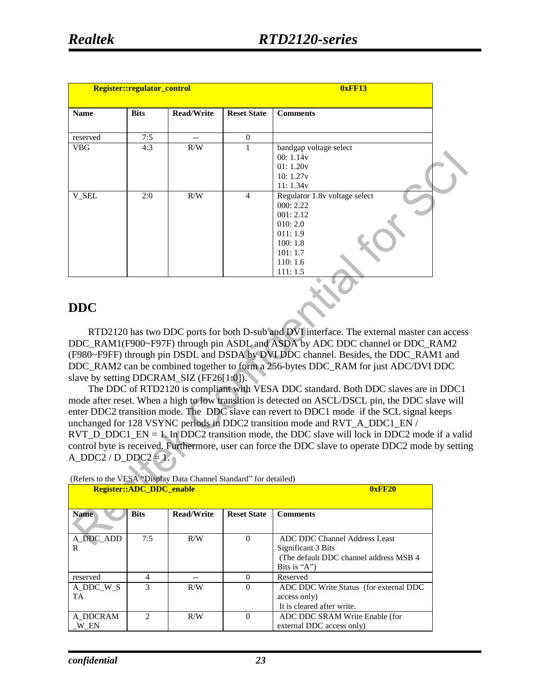| Register::regulator_control |             |                   |                    | <b>0xFF13</b>                                                                                                            |  |
|-----------------------------|-------------|-------------------|--------------------|--------------------------------------------------------------------------------------------------------------------------|--|
| <b>Name</b>                 | <b>Bits</b> | <b>Read/Write</b> | <b>Reset State</b> | <b>Comments</b>                                                                                                          |  |
| reserved                    | 7:5         | --                | $\overline{0}$     |                                                                                                                          |  |
| <b>VBG</b>                  | 4:3         | R/W               |                    | bandgap voltage select<br>00:1.14v<br>01:1.20v<br>10:1.27v<br>11:1.34v                                                   |  |
| V_SEL                       | 2:0         | R/W               | $\overline{4}$     | Regulator 1.8v voltage select<br>000: 2.22<br>001:2.12<br>010:2.0<br>011:1.9<br>100:1.8<br>101:1.7<br>110:1.6<br>111:1.5 |  |

#### **DDC**

RTD2120 has two DDC ports for both D-sub and DVI interface. The external master can access DDC\_RAM1(F900~F97F) through pin ASDL and ASDA by ADC DDC channel or DDC\_RAM2 (F980~F9FF) through pin DSDL and DSDA by DVI DDC channel. Besides, the DDC\_RAM1 and DDC\_RAM2 can be combined together to form a 256-bytes DDC\_RAM for just ADC/DVI DDC slave by setting DDCRAM\_SIZ (FF26[1:0]).

The DDC of RTD2120 is compliant with VESA DDC standard. Both DDC slaves are in DDC1 mode after reset. When a high to low transition is detected on ASCL/DSCL pin, the DDC slave will enter DDC2 transition mode. The DDC slave can revert to DDC1 mode if the SCL signal keeps unchanged for 128 VSYNC periods in DDC2 transition mode and RVT\_A\_DDC1\_EN /  $RVT\_D\_DDC1\_EN = 1$ . In DDC2 transition mode, the DDC slave will lock in DDC2 mode if a valid control byte is received. Furthermore, user can force the DDC slave to operate DDC2 mode by setting A\_DDC2 / D\_DDC2  $= 1$ .

| (Refers to the VESA "Display Data Channel Standard" for detailed) |  |  |  |
|-------------------------------------------------------------------|--|--|--|
|                                                                   |  |  |  |

| $\mu$ . There is no tried to $\mu$ is $\mu$ and $\mu$ and $\mu$ and $\mu$ and $\mu$ are $\mu$ | <b>Register::ADC DDC enable</b> |                   | 0xFF20             |                                                                                                                |
|-----------------------------------------------------------------------------------------------|---------------------------------|-------------------|--------------------|----------------------------------------------------------------------------------------------------------------|
| <b>Name</b>                                                                                   | <b>Bits</b>                     | <b>Read/Write</b> | <b>Reset State</b> | <b>Comments</b>                                                                                                |
| A DDC ADD<br>R                                                                                | 7:5                             | R/W               | $\Omega$           | ADC DDC Channel Address Least<br>Significant 3 Bits<br>(The default DDC channel address MSB 4)<br>Bits is "A") |
| reserved                                                                                      | 4                               |                   | $\Omega$           | Reserved                                                                                                       |
| A DDC W S<br>TA                                                                               | 3                               | R/W               | $\Omega$           | ADC DDC Write Status (for external DDC<br>access only)<br>It is cleared after write.                           |
| A DDCRAM<br>W EN                                                                              | $\mathcal{D}_{\mathcal{A}}$     | R/W               | $\Omega$           | ADC DDC SRAM Write Enable (for<br>external DDC access only)                                                    |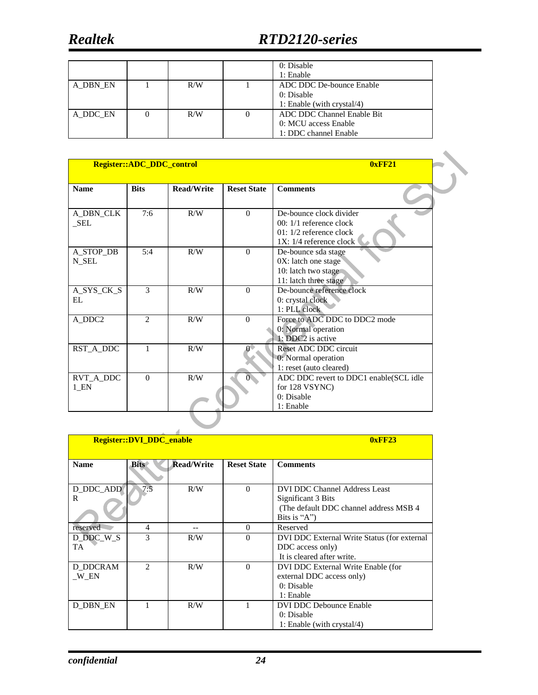**Realtek** 

|          |     | 0: Disable<br>1: Enable                                                     |
|----------|-----|-----------------------------------------------------------------------------|
| A DBN EN | R/W | ADC DDC De-bounce Enable<br>0: Disable<br>1: Enable (with crystal/4)        |
| A DDC EN | R/W | ADC DDC Channel Enable Bit<br>0: MCU access Enable<br>1: DDC channel Enable |

|                                | Register::ADC_DDC_control |                   | 0xFF21             |                                                                                                               |
|--------------------------------|---------------------------|-------------------|--------------------|---------------------------------------------------------------------------------------------------------------|
| <b>Name</b>                    | <b>Bits</b>               | <b>Read/Write</b> | <b>Reset State</b> | <b>Comments</b>                                                                                               |
| A_DBN_CLK<br>SEL               | 7:6                       | R/W               | $\Omega$           | De-bounce clock divider<br>$00:1/1$ reference clock<br>01: $1/2$ reference clock<br>$1X: 1/4$ reference clock |
| A_STOP_DB<br>N SEL             | 5:4                       | R/W               | $\Omega$           | De-bounce sda stage<br>$0X$ : latch one stage<br>10: latch two stage<br>11: latch three stage                 |
| A_SYS_CK_S<br>EL               | 3                         | R/W               | $\theta$           | De-bounce reference clock<br>0: crystal clock<br>1: PLL clock                                                 |
| A_DDC2                         | $\mathfrak{D}$            | R/W               | $\Omega$           | Force to ADC DDC to DDC2 mode<br>0: Normal operation<br>1: DDC2 is active                                     |
| RST_A_DDC                      | $\mathbf{1}$              | R/W               |                    | Reset ADC DDC circuit<br>0: Normal operation<br>1: reset (auto cleared)                                       |
| RVT_A_DDC<br>$1$ <sub>EN</sub> | $\Omega$                  | R/W               |                    | ADC DDC revert to DDC1 enable(SCL idle<br>for 128 VSYNC)<br>0: Disable<br>1: Enable                           |

|                 | <b>Register::DVI_DDC_enable</b> |                   | 0xFF23             |                                             |
|-----------------|---------------------------------|-------------------|--------------------|---------------------------------------------|
|                 |                                 |                   |                    |                                             |
| <b>Name</b>     | <b>Bits</b>                     | <b>Read/Write</b> | <b>Reset State</b> | <b>Comments</b>                             |
|                 |                                 |                   |                    |                                             |
| D_DDC_ADD       | 7:5                             | R/W               | $\Omega$           | DVI DDC Channel Address Least               |
| R               |                                 |                   |                    | Significant 3 Bits                          |
|                 |                                 |                   |                    | (The default DDC channel address MSB 4)     |
|                 |                                 |                   |                    | Bits is "A"                                 |
| reserved        | 4                               |                   | $\Omega$           | Reserved                                    |
| D DDC W S       | 3                               | R/W               | $\Omega$           | DVI DDC External Write Status (for external |
| <b>TA</b>       |                                 |                   |                    | DDC access only)                            |
|                 |                                 |                   |                    | It is cleared after write.                  |
| <b>D DDCRAM</b> | $\mathfrak{D}$                  | R/W               | $\Omega$           | DVI DDC External Write Enable (for          |
| W EN            |                                 |                   |                    | external DDC access only)                   |
|                 |                                 |                   |                    | 0: Disable                                  |
|                 |                                 |                   |                    | 1: Enable                                   |
| D DBN EN        |                                 | R/W               |                    | DVI DDC Debounce Enable                     |
|                 |                                 |                   |                    | 0: Disable                                  |
|                 |                                 |                   |                    | 1: Enable (with crystal/4)                  |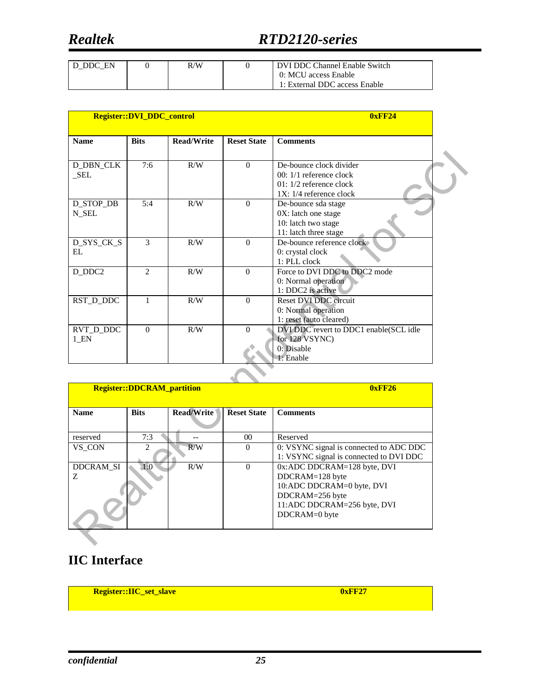## *Realtek RTD2120-series*

| D DDC EN | R/W | DVI DDC Channel Enable Switch |
|----------|-----|-------------------------------|
|          |     | 0: MCU access Enable          |
|          |     | 1: External DDC access Enable |

|                   | Register::DVI_DDC_control |                   | 0xFF24             |                                        |
|-------------------|---------------------------|-------------------|--------------------|----------------------------------------|
| <b>Name</b>       | <b>Bits</b>               | <b>Read/Write</b> | <b>Reset State</b> | <b>Comments</b>                        |
|                   |                           |                   |                    |                                        |
| <b>D_DBN_CLK</b>  | 7:6                       | R/W               | $\Omega$           | De-bounce clock divider                |
| $\_SEL$           |                           |                   |                    | $00:1/1$ reference clock               |
|                   |                           |                   |                    | $01: 1/2$ reference clock              |
|                   |                           |                   |                    | $1X: 1/4$ reference clock              |
| D_STOP_DB         | 5:4                       | R/W               | $\Omega$           | De-bounce sda stage                    |
| N SEL             |                           |                   |                    | 0X: latch one stage                    |
|                   |                           |                   |                    | 10: latch two stage                    |
|                   |                           |                   |                    | 11: latch three stage                  |
| D_SYS_CK_S        | $\mathcal{E}$             | R/W               | $\Omega$           | De-bounce reference clock              |
| EL                |                           |                   |                    | 0: crystal clock                       |
|                   |                           |                   |                    | $1: PLL$ clock                         |
| D_DDC2            | $\overline{2}$            | R/W               | $\Omega$           | Force to DVI DDC to DDC2 mode          |
|                   |                           |                   |                    | 0: Normal operation                    |
|                   |                           |                   |                    | 1: DDC2 is active                      |
| RST_D_DDC         | 1                         | R/W               | $\theta$           | Reset DVI DDC circuit                  |
|                   |                           |                   |                    | 0: Normal operation                    |
|                   |                           |                   |                    | 1: reset (auto cleared)                |
| RVT_D_DDC         | $\Omega$                  | R/W               | $\Omega$           | DVI DDC revert to DDC1 enable(SCL idle |
| $1$ <sub>EN</sub> |                           |                   |                    | for 128 VSYNC)                         |
|                   |                           |                   |                    | 0: Disable                             |
|                   |                           |                   |                    | 1: Enable                              |

|                       | <b>Register::DDCRAM partition</b> |                   | 0xFF26             |                                                                                                                                                |
|-----------------------|-----------------------------------|-------------------|--------------------|------------------------------------------------------------------------------------------------------------------------------------------------|
| <b>Name</b>           | <b>Bits</b>                       | <b>Read/Write</b> | <b>Reset State</b> | <b>Comments</b>                                                                                                                                |
| reserved              | 7:3                               |                   | 00 <sup>0</sup>    | Reserved                                                                                                                                       |
| VS CON                | $\mathcal{D}_{\mathcal{L}}$       | R/W               | $\Omega$           | 0: VSYNC signal is connected to ADC DDC<br>1: VSYNC signal is connected to DVI DDC                                                             |
| <b>DDCRAM SI</b><br>Z | 1:0                               | R/W               | $\Omega$           | 0x:ADC DDCRAM=128 byte, DVI<br>DDCRAM=128 byte<br>10:ADC DDCRAM=0 byte, DVI<br>DDCRAM=256 byte<br>11:ADC DDCRAM=256 byte, DVI<br>DDCRAM=0 byte |

### **IIC Interface**

**Register::IIC\_set\_slave 0xFF27**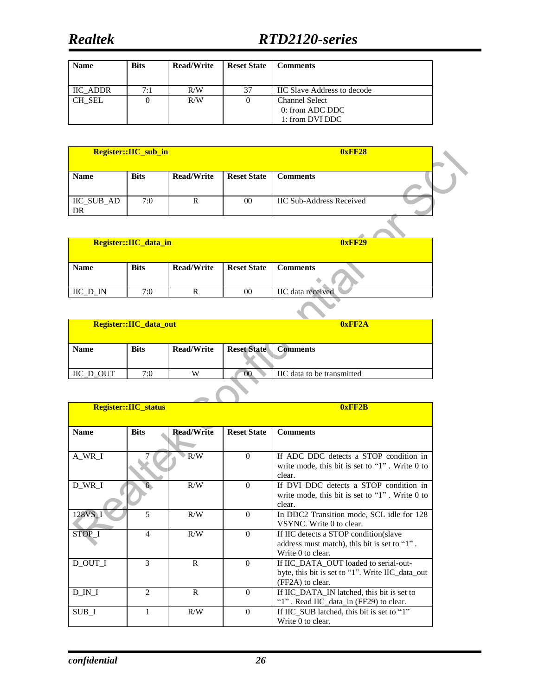| <b>Name</b> | <b>Bits</b> | <b>Read/Write</b> | <b>Reset State</b> | <b>Comments</b>                    |
|-------------|-------------|-------------------|--------------------|------------------------------------|
|             |             |                   |                    |                                    |
| IIC ADDR    | 7:1         | R/W               | 37                 | <b>IIC Slave Address to decode</b> |
| CH SEL      |             | R/W               |                    | <b>Channel Select</b>              |
|             |             |                   |                    | 0: from ADC DDC                    |
|             |             |                   |                    | 1: from DVI DDC                    |

|                  | Register::IIC_sub_in |                   |                    | 0xFF28                          |  |
|------------------|----------------------|-------------------|--------------------|---------------------------------|--|
| <b>Name</b>      | <b>Bits</b>          | <b>Read/Write</b> | <b>Reset State</b> | <b>Comments</b>                 |  |
| IIC_SUB_AD<br>DR | 7:0                  |                   | $00\,$             | <b>IIC Sub-Address Received</b> |  |
|                  |                      |                   |                    |                                 |  |

|                     | Register::IIC_data_in |                   | <b>0xFF29</b>      |                   |
|---------------------|-----------------------|-------------------|--------------------|-------------------|
| <b>Name</b>         | <b>Bits</b>           | <b>Read/Write</b> | <b>Reset State</b> | <b>Comments</b>   |
| $\text{IIC\_D\_IN}$ | 7:0                   | R                 | $00\,$             | IIC data received |
|                     |                       |                   |                    |                   |

| Register::IIC_data_out |             |                   | 0xFF2A                      |                            |  |
|------------------------|-------------|-------------------|-----------------------------|----------------------------|--|
| <b>Name</b>            | <b>Bits</b> | <b>Read/Write</b> | <b>Reset State Comments</b> |                            |  |
| IIC D OUT              | 7:0         | W                 | $^{(0)}$                    | IIC data to be transmitted |  |

|             | Register::IIC_status |                   | 0xFF2B             |                                                              |  |  |
|-------------|----------------------|-------------------|--------------------|--------------------------------------------------------------|--|--|
| <b>Name</b> | <b>Bits</b>          | <b>Read/Write</b> | <b>Reset State</b> | <b>Comments</b>                                              |  |  |
|             |                      |                   |                    |                                                              |  |  |
| A WR I      |                      | R/W               | $\Omega$           | If ADC DDC detects a STOP condition in                       |  |  |
|             |                      |                   |                    | write mode, this bit is set to " $1$ ". Write 0 to<br>clear. |  |  |
| D_WR_I      | 6 <sub>1</sub>       | R/W               | $\Omega$           | If DVI DDC detects a STOP condition in                       |  |  |
|             |                      |                   |                    | write mode, this bit is set to " $1$ ". Write 0 to<br>clear. |  |  |
| 128VS_I     | 5                    | R/W               | $\Omega$           | In DDC2 Transition mode, SCL idle for 128                    |  |  |
|             |                      |                   |                    | VSYNC. Write 0 to clear.                                     |  |  |
| STOP I      | 4                    | R/W               | $\Omega$           | If IIC detects a STOP condition (slave                       |  |  |
|             |                      |                   |                    | address must match), this bit is set to "1".                 |  |  |
|             |                      |                   |                    | Write 0 to clear.                                            |  |  |
| D OUT I     | 3                    | R                 | $\Omega$           | If IIC DATA OUT loaded to serial-out-                        |  |  |
|             |                      |                   |                    | byte, this bit is set to "1". Write IIC_data_out             |  |  |
|             |                      |                   |                    | (FF2A) to clear.                                             |  |  |
| D IN I      | $\mathfrak{D}$       | R                 | $\Omega$           | If IIC_DATA_IN latched, this bit is set to                   |  |  |
|             |                      |                   |                    | "1". Read IIC_data_in (FF29) to clear.                       |  |  |
| SUB I       | 1                    | R/W               | $\Omega$           | If IIC_SUB latched, this bit is set to "1"                   |  |  |
|             |                      |                   |                    | Write 0 to clear.                                            |  |  |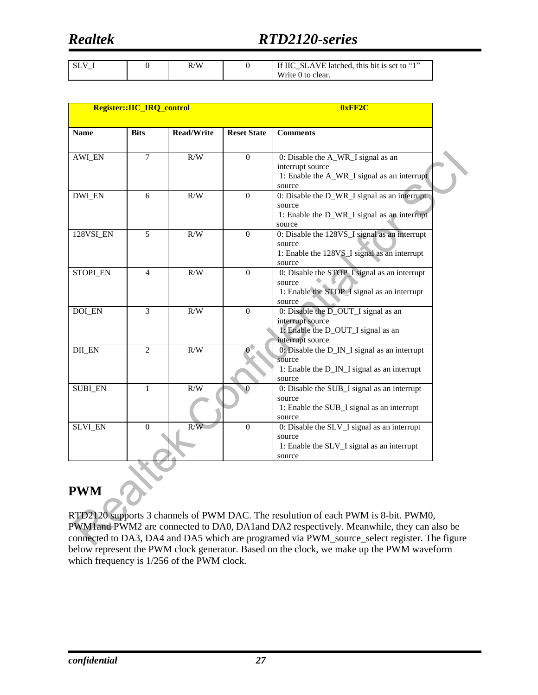## *Realtek RTD2120-series*

|  | R/W | If IIC SLAVE latched, this bit is set to "1" |
|--|-----|----------------------------------------------|
|  |     | Write 0 to clear.                            |

|                 | Register::IIC_IRQ_control |                   | 0xFF2C             |                                                                                                                         |  |
|-----------------|---------------------------|-------------------|--------------------|-------------------------------------------------------------------------------------------------------------------------|--|
| <b>Name</b>     | <b>Bits</b>               | <b>Read/Write</b> | <b>Reset State</b> | <b>Comments</b>                                                                                                         |  |
| <b>AWI_EN</b>   | $\overline{7}$            | R/W               | $\Omega$           | 0: Disable the A_WR_I signal as an<br>interrupt source<br>1: Enable the A_WR_I signal as an interrupt<br>source         |  |
| <b>DWI EN</b>   | 6                         | R/W               | $\Omega$           | 0: Disable the D_WR_I signal as an interrupt<br>source<br>1: Enable the D_WR_I signal as an interrupt<br>source         |  |
| 128VSI_EN       | 5                         | R/W               | $\Omega$           | 0: Disable the 128VS_I signal as an interrupt<br>source<br>1: Enable the 128VS_I signal as an interrupt<br>source       |  |
| <b>STOPI EN</b> | $\overline{4}$            | R/W               | $\Omega$           | 0: Disable the STOP_I signal as an interrupt<br>source<br>1: Enable the STOP_I signal as an interrupt<br>source         |  |
| <b>DOI_EN</b>   | $\overline{3}$            | R/W               | $\Omega$           | 0: Disable the D_OUT_I signal as an<br>interrupt source<br>1: Enable the D_OUT_I signal as an<br>interrupt source       |  |
| DII_EN          | $\overline{c}$            | R/W               |                    | 0: Disable the D_IN_I signal as an interrupt<br>source<br>1: Enable the D_IN_I signal as an interrupt<br>source         |  |
| <b>SUBI EN</b>  | $\mathbf{1}$              | R/W               | $\Omega$           | 0: Disable the SUB_I signal as an interrupt<br>source<br>1: Enable the SUB_I signal as an interrupt<br>source           |  |
| <b>SLVI_EN</b>  | $\Omega$                  | R/W               | $\Omega$           | 0: Disable the $\overline{SUV}$ ignal as an interrupt<br>source<br>1: Enable the SLV_I signal as an interrupt<br>source |  |

**PWM** 

RTD2120 supports 3 channels of PWM DAC. The resolution of each PWM is 8-bit. PWM0, PWM1and PWM2 are connected to DA0, DA1and DA2 respectively. Meanwhile, they can also be connected to DA3, DA4 and DA5 which are programed via PWM\_source\_select register. The figure below represent the PWM clock generator. Based on the clock, we make up the PWM waveform which frequency is 1/256 of the PWM clock.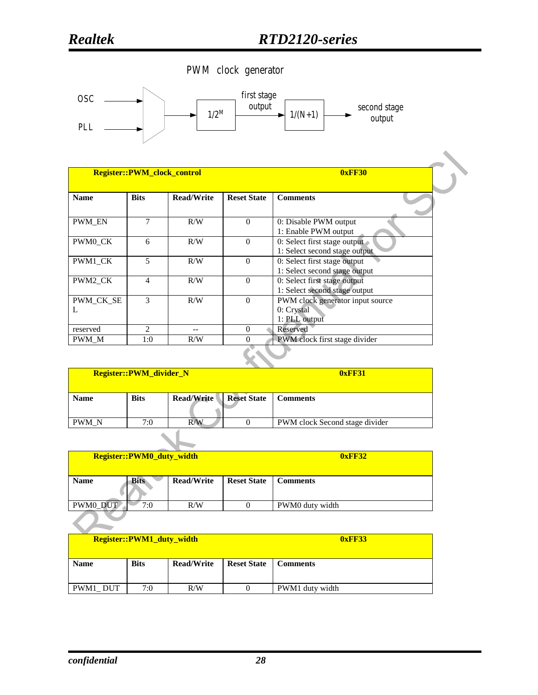

|                |                | Register::PWM_clock_control | 0xFF30             |                                                                 |  |
|----------------|----------------|-----------------------------|--------------------|-----------------------------------------------------------------|--|
| <b>Name</b>    | <b>Bits</b>    | <b>Read/Write</b>           | <b>Reset State</b> | <b>Comments</b>                                                 |  |
| <b>PWM_EN</b>  | 7              | R/W                         | $\theta$           | 0: Disable PWM output<br>1: Enable PWM output                   |  |
| PWM0 CK        | 6              | R/W                         | $\Omega$           | 0: Select first stage output<br>1: Select second stage output   |  |
| PWM1_CK        | 5              | R/W                         | $\Omega$           | 0: Select first stage output<br>1: Select second stage output   |  |
| PWM2_CK        | 4              | R/W                         | $\theta$           | 0: Select first stage output<br>1: Select second stage output   |  |
| PWM CK SE<br>L | 3              | R/W                         | $\Omega$           | PWM clock generator input source<br>0: Crystal<br>1: PLL output |  |
| reserved       | $\mathfrak{D}$ | $-$                         | $\Omega$           | Reserved                                                        |  |
| PWM M          | 1:0            | R/W                         | $\Omega$           | PWM clock first stage divider                                   |  |

| Register::PWM_divider_N |             |                   |                    | <b>0xFF31</b>                  |
|-------------------------|-------------|-------------------|--------------------|--------------------------------|
| <b>Name</b>             | <b>Bits</b> | <b>Read/Write</b> | <b>Reset State</b> | <b>Comments</b>                |
| <b>PWM N</b>            | 7:0         | R/W               |                    | PWM clock Second stage divider |
|                         |             |                   |                    |                                |

| Register::PWM0_duty_width |             |                   |                    | <b>0xFF32</b>   |
|---------------------------|-------------|-------------------|--------------------|-----------------|
| <b>Name</b>               | <b>Bits</b> | <b>Read/Write</b> | <b>Reset State</b> | <b>Comments</b> |
| PWM0_DUT                  | 7:0         | R/W               |                    | PWM0 duty width |
|                           |             |                   |                    |                 |

| <b>Register::PWM1_duty_width</b> |             |                   |                    | 0xFF33          |
|----------------------------------|-------------|-------------------|--------------------|-----------------|
| <b>Name</b>                      | <b>Bits</b> | <b>Read/Write</b> | <b>Reset State</b> | <b>Comments</b> |
| PWM1 DUT                         | 7:0         | R/W               |                    | PWM1 duty width |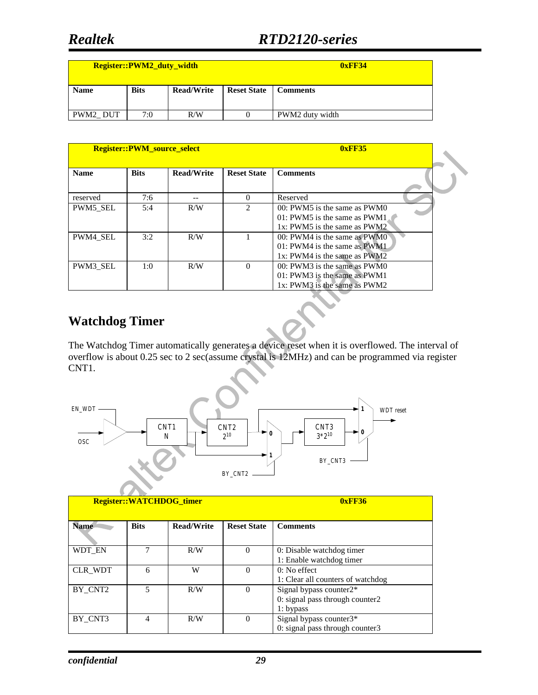|             | <b>Register::PWM2 duty width</b> |                   | 0xFF34             |                 |
|-------------|----------------------------------|-------------------|--------------------|-----------------|
| <b>Name</b> | <b>Bits</b>                      | <b>Read/Write</b> | <b>Reset State</b> | <b>Comments</b> |
| PWM2 DUT    | 7:0                              | R/W               |                    | PWM2 duty width |

|             | <b>Register::PWM_source_select</b> |                   | 0xFF35             |                                                                                                       |
|-------------|------------------------------------|-------------------|--------------------|-------------------------------------------------------------------------------------------------------|
| <b>Name</b> | <b>Bits</b>                        | <b>Read/Write</b> | <b>Reset State</b> | <b>Comments</b>                                                                                       |
| reserved    | 7:6                                |                   | $\Omega$           | Reserved                                                                                              |
| PWM5 SEL    | 5:4                                | R/W               | $\mathfrak{D}$     | $00:$ PWM5 is the same as PWM $0$<br>$01:$ PWM5 is the same as PWM1<br>1x: PWM5 is the same as $PWM2$ |
| PWM4 SEL    | 3:2                                | R/W               |                    | 00: PWM4 is the same as PWM0<br>$01:$ PWM4 is the same as PWM1<br>$1x$ : PWM4 is the same as PWM2     |
| PWM3 SEL    | 1:0                                | R/W               | $\Omega$           | 00: PWM3 is the same as PWM0<br>$01:$ PWM3 is the same as PWM1<br>1x: PWM3 is the same as PWM2        |

### **Watchdog Timer**

The Watchdog Timer automatically generates a device reset when it is overflowed. The interval of overflow is about 0.25 sec to 2 sec(assume crystal is 12MHz) and can be programmed via register CNT1.



| <b>Register::WATCHDOG timer</b> |                          |                   |                    | 0xFF36                                                                    |
|---------------------------------|--------------------------|-------------------|--------------------|---------------------------------------------------------------------------|
| <b>Name</b>                     | <b>Bits</b>              | <b>Read/Write</b> | <b>Reset State</b> | <b>Comments</b>                                                           |
| WDT EN                          | 7                        | R/W               | $\Omega$           | 0: Disable watchdog timer<br>1: Enable watchdog timer                     |
| CLR WDT                         | 6                        | W                 | 0                  | 0: No effect<br>1: Clear all counters of watchdog                         |
| BY CNT2                         | $\overline{\mathcal{L}}$ | R/W               | $\Omega$           | Signal bypass counter2*<br>0: signal pass through counter2<br>$1:$ bypass |
| BY CNT3                         | 4                        | R/W               | $\Omega$           | Signal bypass counter3*<br>0: signal pass through counter3                |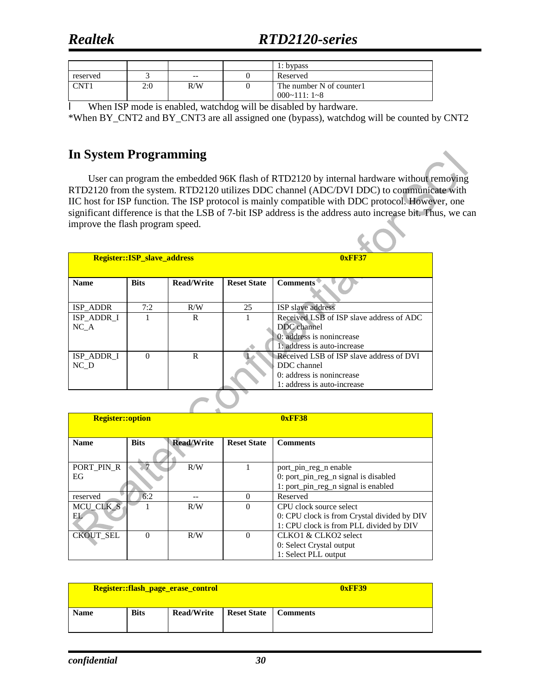## *Realtek RTD2120-series*

 $\mathcal{C}$  .  $\mathcal{C}$ 

|          |     |       | 1: bypass                                   |
|----------|-----|-------|---------------------------------------------|
| reserved |     | $- -$ | Reserved                                    |
| CNT1     | 2:0 | R/W   | The number N of counter1<br>$000~111$ : 1~8 |

l When ISP mode is enabled, watchdog will be disabled by hardware.

\*When BY\_CNT2 and BY\_CNT3 are all assigned one (bypass), watchdog will be counted by CNT2

#### **In System Programming**

User can program the embedded 96K flash of RTD2120 by internal hardware without removing RTD2120 from the system. RTD2120 utilizes DDC channel (ADC/DVI DDC) to communicate with IIC host for ISP function. The ISP protocol is mainly compatible with DDC protocol. However, one significant difference is that the LSB of 7-bit ISP address is the address auto increase bit. Thus, we can improve the flash program speed.

| Register::ISP_slave_address |             |                   |                    | 0xFF37                                   |
|-----------------------------|-------------|-------------------|--------------------|------------------------------------------|
|                             |             |                   |                    |                                          |
| <b>Name</b>                 | <b>Bits</b> | <b>Read/Write</b> | <b>Reset State</b> | <b>Comments</b>                          |
|                             |             |                   |                    |                                          |
| ISP ADDR                    | 7:2         | R/W               | 25                 | <b>ISP</b> slave address                 |
| ISP ADDR I                  |             | R                 |                    | Received LSB of ISP slave address of ADC |
| NC A                        |             |                   |                    | DDC channel                              |
|                             |             |                   |                    | 0: address is nonincrease                |
|                             |             |                   |                    | 1: address is auto-increase              |
| ISP ADDR I                  | $\Omega$    | R                 |                    | Received LSB of ISP slave address of DVI |
| NC D                        |             |                   |                    | DDC channel                              |
|                             |             |                   |                    | 0: address is nonincrease                |
|                             |             |                   |                    | 1: address is auto-increase              |

 $\overline{\phantom{a}}$ 

| <b>Register::option</b> |             |                   |                    | 0xFF38                                      |
|-------------------------|-------------|-------------------|--------------------|---------------------------------------------|
| <b>Name</b>             | <b>Bits</b> | <b>Read/Write</b> | <b>Reset State</b> | <b>Comments</b>                             |
|                         |             |                   |                    |                                             |
| PORT PIN R              |             | R/W               |                    | port_pin_reg_n enable                       |
| EG                      |             |                   |                    | 0: port_pin_reg_n signal is disabled        |
|                         |             |                   |                    | 1: port_pin_reg_n signal is enabled         |
| reserved                | 6:2         |                   | $\Omega$           | Reserved                                    |
| MCU CLK S               |             | R/W               | $\Omega$           | CPU clock source select                     |
| EL.                     |             |                   |                    | 0: CPU clock is from Crystal divided by DIV |
|                         |             |                   |                    | 1: CPU clock is from PLL divided by DIV     |
| <b>CKOUT SEL</b>        | $\Omega$    | R/W               | $\Omega$           | CLKO1 & CLKO2 select                        |
|                         |             |                   |                    | 0: Select Crystal output                    |
|                         |             |                   |                    | 1: Select PLL output                        |

|             |             | Register::flash_page_erase_control | 0xFF39             |                 |  |
|-------------|-------------|------------------------------------|--------------------|-----------------|--|
| <b>Name</b> | <b>Bits</b> | <b>Read/Write</b>                  | <b>Reset State</b> | <b>Comments</b> |  |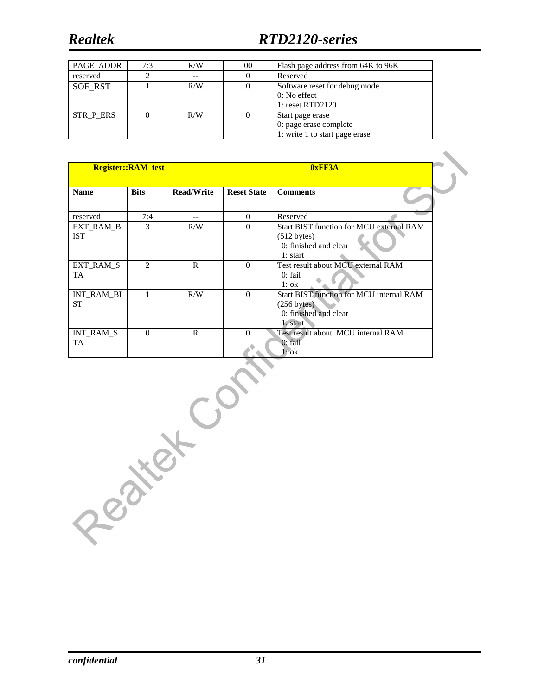## *Realtek RTD2120-series*

| PAGE ADDR | 7:3 | R/W | $00\,$   | Flash page address from 64K to 96K              |
|-----------|-----|-----|----------|-------------------------------------------------|
| reserved  |     |     |          | Reserved                                        |
| SOF RST   |     | R/W | $\theta$ | Software reset for debug mode<br>$0: No$ effect |
|           |     |     |          | 1: reset RTD2120                                |
| STR_P_ERS |     | R/W |          | Start page erase                                |
|           |     |     |          | 0: page erase complete                          |
|           |     |     |          | 1: write 1 to start page erase                  |

|                         | <b>Register::RAM_test</b> |                   | 0xFF3A             |                                                                                              |  |  |  |  |
|-------------------------|---------------------------|-------------------|--------------------|----------------------------------------------------------------------------------------------|--|--|--|--|
| <b>Name</b>             | <b>Bits</b>               | <b>Read/Write</b> | <b>Reset State</b> | <b>Comments</b>                                                                              |  |  |  |  |
| reserved                | 7:4                       | --                | $\theta$           | Reserved                                                                                     |  |  |  |  |
| EXT_RAM_B<br><b>IST</b> | 3                         | R/W               | $\Omega$           | Start BIST function for MCU external RAM<br>(512 bytes)<br>0: finished and clear<br>1: start |  |  |  |  |
| EXT_RAM_S<br><b>TA</b>  | $\mathfrak{D}$            | $\mathsf{R}$      | $\Omega$           | Test result about MCU external RAM<br>$0:$ fail<br>$1:$ ok                                   |  |  |  |  |
| INT_RAM_BI<br><b>ST</b> |                           | R/W               | $\Omega$           | Start BIST function for MCU internal RAM<br>(256 bytes)<br>0: finished and clear<br>1: start |  |  |  |  |
| INT_RAM_S<br><b>TA</b>  | $\Omega$                  | $\mathbf{R}$      | $\Omega$           | Test result about MCU internal RAM<br>$0:$ fail<br>l: ok                                     |  |  |  |  |

Peakex Com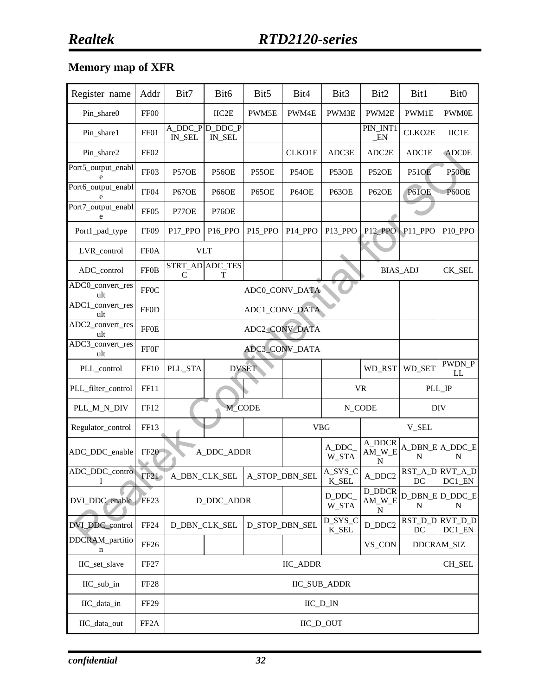### **Memory map of XFR**

| Register name                         | Addr              | Bit7                      | Bit <sub>6</sub>          | Bit5               | Bit4                | Bit3                            | Bit2                    | Bit1                | Bit <sub>0</sub>                                     |  |  |
|---------------------------------------|-------------------|---------------------------|---------------------------|--------------------|---------------------|---------------------------------|-------------------------|---------------------|------------------------------------------------------|--|--|
| Pin_share0                            | FF00              |                           | IIC2E                     | PWM5E              | PWM4E               | PWM3E                           | PWM2E                   | PWM1E               | <b>PWM0E</b>                                         |  |  |
| Pin_share1                            | FF01              | IN_SEL                    | A DDC P D DDC P<br>IN_SEL |                    |                     |                                 | PIN_INT1<br>$\_EN$      | CLKO <sub>2E</sub>  | IIC1E                                                |  |  |
| Pin_share2                            | FF <sub>02</sub>  |                           |                           |                    | <b>CLKO1E</b>       | ADC3E                           | ADC2E                   | ADC1E               | <b>ADC0E</b>                                         |  |  |
| Port5_output_enabl<br>e               | FF03              | P57OE                     | <b>P56OE</b>              | P <sub>55</sub> OE | P54OE               | P53OE                           | P52OE                   | P51OE               | P50OE                                                |  |  |
| Port6_output_enabl<br>e               | FF04              | P67OE                     | P66OE                     | P65OE              | P64OE               | P63OE                           | P62OE                   | P61OE               | P60OE                                                |  |  |
| Port7_output_enabl<br>e               | FF <sub>05</sub>  | P77OE                     | P76OE                     |                    |                     |                                 |                         |                     |                                                      |  |  |
| Port1_pad_type                        | FF <sub>09</sub>  | P17_PPO                   | P <sub>16_PPO</sub>       | P15_PPO            | P <sub>14_PPO</sub> | P13_PPO                         | P <sub>12</sub> PPO     | P <sub>11_PPO</sub> | P <sub>10_PPO</sub>                                  |  |  |
| LVR_control                           | <b>FF0A</b>       |                           | <b>VLT</b>                |                    |                     |                                 |                         |                     |                                                      |  |  |
| ADC_control                           | <b>FF0B</b>       | $\mathsf{C}$              | STRT_AD ADC_TES<br>T      |                    |                     |                                 |                         | <b>BIAS_ADJ</b>     | CK_SEL                                               |  |  |
| ADC0_convert_res<br>ult               | <b>FF0C</b>       |                           |                           |                    | ADC0_CONV_DATA      |                                 |                         |                     |                                                      |  |  |
| ADC1_convert_res<br>ult               | <b>FF0D</b>       |                           |                           |                    | ADC1_CONV_DATA      |                                 |                         |                     |                                                      |  |  |
| ADC2_convert_res<br>ult               | ${\rm FFOE}$      |                           |                           |                    |                     |                                 |                         |                     |                                                      |  |  |
| $\overline{ADC3}$ _convert_res<br>ult | <b>FF0F</b>       |                           | ADC3_CONV_DATA            |                    |                     |                                 |                         |                     |                                                      |  |  |
| PLL_control                           | <b>FF10</b>       | PLL_STA                   |                           | <b>DVSET</b>       |                     |                                 | WD_RST                  | WD_SET              | PWDN_P<br>LL                                         |  |  |
| PLL_filter_control                    | FF11              |                           |                           |                    |                     |                                 | <b>VR</b>               | PLL_IP              |                                                      |  |  |
| PLL_M_N_DIV                           | FF12              |                           |                           | M_CODE             |                     |                                 | N_CODE                  | <b>DIV</b>          |                                                      |  |  |
| Regulator_control                     | FF13              |                           |                           |                    |                     | <b>VBG</b>                      |                         | V_SEL               |                                                      |  |  |
| ADC_DDC_enable                        | FF20              |                           | A_DDC_ADDR                |                    |                     | A_DDC_<br>W_STA                 | A_DDCR<br>$AM_W_E$<br>N | N                   | A_DBN_E A_DDC_E<br>N                                 |  |  |
| ADC_DDC_control                       | FF21              |                           | A_DBN_CLK_SEL             | A_STOP_DBN_SEL     |                     | A_SYS_C<br><b>K_SEL</b>         | A_DDC2                  | DC                  | RST_A_D RVT_A_D<br>$DC1$ <sub><math> EN</math></sub> |  |  |
| DVI_DDC_enable                        | FF23              |                           | D_DDC_ADDR                |                    |                     | D_DDC_<br>W_STA                 | D_DDCR<br>$AM_W_E$<br>N | N                   | D_DBN_E D_DDC_E<br>N                                 |  |  |
| DVI_DDC_control                       | FF <sub>24</sub>  |                           | D_DBN_CLK_SEL             |                    | D_STOP_DBN_SEL      | D_SYS_C<br>$K$ <sub>_</sub> SEL | $D_DDC2$                | DC                  | RST_D_D RVT_D_D<br>DC1_EN                            |  |  |
| DDCRAM_partitio<br>n                  | FF <sub>26</sub>  |                           |                           |                    |                     |                                 | VS_CON                  |                     | DDCRAM_SIZ                                           |  |  |
| IIC_set_slave                         | FF <sub>27</sub>  | <b>IIC_ADDR</b><br>CH_SEL |                           |                    |                     |                                 |                         |                     |                                                      |  |  |
| IIC_sub_in                            | FF <sub>28</sub>  | <b>IIC_SUB_ADDR</b>       |                           |                    |                     |                                 |                         |                     |                                                      |  |  |
| IIC_data_in                           | FF <sub>29</sub>  |                           |                           |                    | $\text{IIC\_D\_IN}$ |                                 |                         |                     |                                                      |  |  |
| IIC_data_out                          | FF <sub>2</sub> A |                           |                           |                    |                     | IIC_D_OUT                       |                         |                     |                                                      |  |  |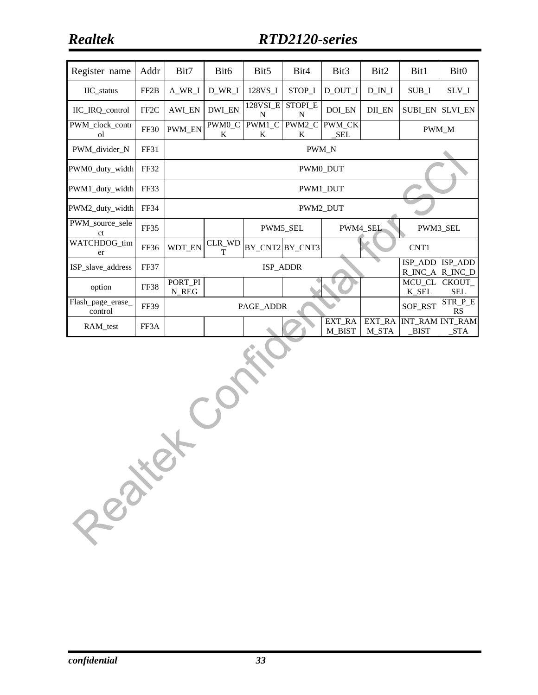| Register name                    | Addr              | Bit7                       | Bit <sub>6</sub>                                           | Bit <sub>5</sub> | Bit4            | Bit <sub>3</sub> | Bit2            | Bit1            | Bit <sub>0</sub>                                         |  |  |
|----------------------------------|-------------------|----------------------------|------------------------------------------------------------|------------------|-----------------|------------------|-----------------|-----------------|----------------------------------------------------------|--|--|
| IIC_status                       | FF <sub>2</sub> B | A_WR_I                     | D WR I                                                     | 128VS_I          | STOP_I          | D OUT I          | D IN I          | SUB I           | SLV_I                                                    |  |  |
| IIC_IRQ_control                  | FF <sub>2</sub> C | <b>AWI_EN</b>              | <b>DWI_EN</b>                                              | 128VSI_E<br>N    | STOPI_E<br>N    | DOI_EN           | DII_EN          | <b>SUBI EN</b>  | <b>SLVI EN</b>                                           |  |  |
| PWM_clock_contr<br>οl            | <b>FF30</b>       | <b>PWM_EN</b>              | PWM1_C<br>PWM0_C<br>PWM2_C<br>PWM_CK<br>SEL<br>K<br>K<br>K |                  |                 |                  |                 |                 |                                                          |  |  |
| PWM_divider_N                    | FF31              |                            | PWM N                                                      |                  |                 |                  |                 |                 |                                                          |  |  |
| PWM0_duty_width                  | FF32              |                            | PWM0 DUT                                                   |                  |                 |                  |                 |                 |                                                          |  |  |
| PWM1_duty_width                  | FF33              |                            | PWM1_DUT                                                   |                  |                 |                  |                 |                 |                                                          |  |  |
| PWM2 duty width                  | FF34              |                            |                                                            |                  |                 | <b>PWM2 DUT</b>  |                 |                 |                                                          |  |  |
| PWM_source_sele<br><sub>ct</sub> | FF35              |                            |                                                            |                  | PWM5_SEL        |                  | PWM4_SEL        |                 | PWM3_SEL                                                 |  |  |
| WATCHDOG_tim<br>er               | FF36              | WDT_EN                     | CLR_WD<br>T                                                |                  | BY_CNT2 BY_CNT3 |                  |                 | CNT1            |                                                          |  |  |
| ISP slave address                | <b>FF37</b>       |                            |                                                            |                  | ISP ADDR        |                  |                 | ISP_ADD         | ISP_ADD<br>$R$ <sub>INC</sub> $A$ $R$ <sub>INC</sub> $D$ |  |  |
| option                           | <b>FF38</b>       | PORT_PI<br>N REG           |                                                            |                  |                 |                  |                 | MCU_CL<br>K SEL | CKOUT_<br><b>SEL</b>                                     |  |  |
| Flash_page_erase_<br>control     | <b>FF39</b>       | SOF_RST<br>PAGE_ADDR<br>RS |                                                            |                  |                 |                  |                 |                 | STR_P_E                                                  |  |  |
| RAM_test                         | FF3A              |                            |                                                            |                  |                 | EXT_RA<br>M_BIST | EXT_RA<br>M_STA | $_BIST$         | INT_RAM INT_RAM<br>STA                                   |  |  |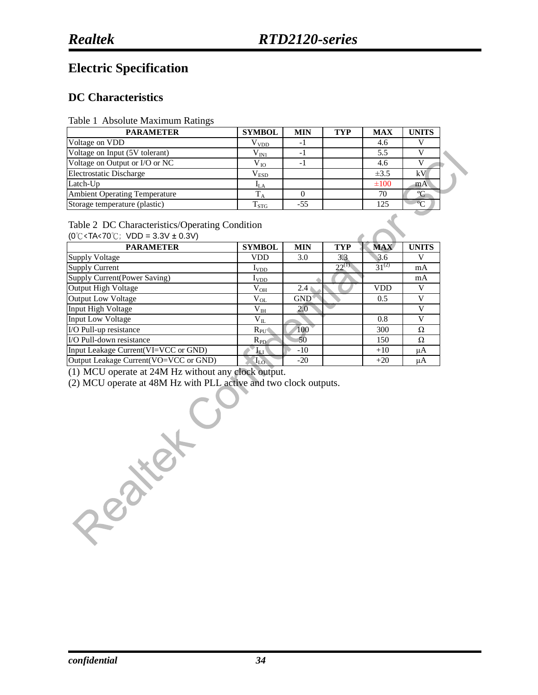### **Electric Specification**

#### **DC Characteristics**

Table 1 Absolute Maximum Ratings

| <b>PARAMETER</b>                     | <b>SYMBOL</b>    | <b>MIN</b> | <b>TYP</b> | <b>MAX</b> | <b>UNITS</b> |
|--------------------------------------|------------------|------------|------------|------------|--------------|
| Voltage on VDD                       | V <sub>VDD</sub> | - 1        |            | 4.6        |              |
| Voltage on Input (5V tolerant)       | ${\rm V_{IN1}}$  | - 1        |            | 5.5        |              |
| Voltage on Output or I/O or NC       | $V_{IO}$         | - 1        |            | 4.6        |              |
| <b>Electrostatic Discharge</b>       | $V_{ESD}$        |            |            | $\pm 3.5$  | kV           |
| Latch-Up                             | 4LA              |            |            | $\pm 100$  | mA           |
| <b>Ambient Operating Temperature</b> |                  |            |            | 70         |              |
| Storage temperature (plastic)        | $T_{STG}$        | $-55$      |            | 125        | $\circ$      |

#### Table 2 DC Characteristics/Operating Condition

(0℃<TA<70℃; VDD = 3.3V ± 0.3V)

| <b>PARAMETER</b>                      | <b>SYMBOL</b> | <b>MIN</b> | <b>TYP</b> | <b>MAX</b> | <b>UNITS</b> |
|---------------------------------------|---------------|------------|------------|------------|--------------|
| <b>Supply Voltage</b>                 | <b>VDD</b>    | 3.0        | 3.3        | 3.6        |              |
| <b>Supply Current</b>                 | $I_{VDD}$     |            | $22^{(1)}$ | $31^{(2)}$ | mA           |
| Supply Current(Power Saving)          | $I_{VDD}$     |            |            |            | mA           |
| Output High Voltage                   | $\rm V_{OH}$  | 2.4        |            | <b>VDD</b> |              |
| <b>Output Low Voltage</b>             | $V_{OL}$      | <b>GND</b> |            | 0.5        |              |
| Input High Voltage                    | $V_{IH}$      | 2.0        |            |            |              |
| <b>Input Low Voltage</b>              | $\rm V_{II}$  |            |            | 0.8        |              |
| I/O Pull-up resistance                | $R_{PU}$      | 100        |            | 300        | $\Omega$     |
| I/O Pull-down resistance              | $R_{PD}$      | 50         |            | 150        | Ω            |
| Input Leakage Current(VI=VCC or GND)  | ÅП            | $-10$      |            | $+10$      | μA           |
| Output Leakage Current(VO=VCC or GND) | $I_{LO}$      | $-20$      |            | $+20$      | μA           |

(1) MCU operate at 24M Hz without any clock output.

(2) MCU operate at 48M Hz with PLL active and two clock outputs.

Resiter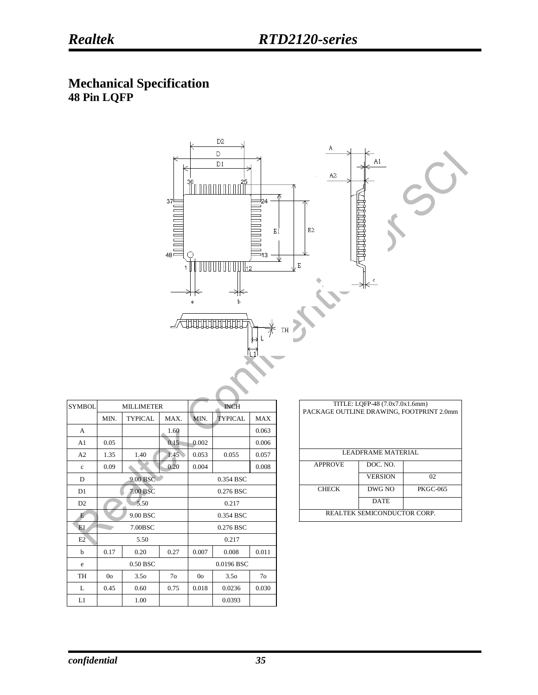#### **Mechanical Specification 48 Pin LQFP**



| <b>SYMBOL</b>  |                | <b>MILLIMETER</b> |                |                | <b>INCH</b>      |                |  | PACKAGE OUTLINE DRAWING, FOOTPRINT 2.0 | TITLE: LOFP-48 (7.0x7.0x1.6mm) |                 |
|----------------|----------------|-------------------|----------------|----------------|------------------|----------------|--|----------------------------------------|--------------------------------|-----------------|
|                | MIN.           | <b>TYPICAL</b>    | MAX.           | MIN.           | <b>TYPICAL</b>   | <b>MAX</b>     |  |                                        |                                |                 |
| A              |                |                   | 1.60           |                |                  | 0.063          |  |                                        |                                |                 |
| A <sub>1</sub> | 0.05           |                   | 0.15           | 0.002          |                  | 0.006          |  |                                        |                                |                 |
| A <sub>2</sub> | 1.35           | 1.40              | 1.45           | 0.053          | 0.055            | 0.057          |  |                                        | <b>LEADFRAME MATERIAL</b>      |                 |
| $\mathbf{c}$   | 0.09           |                   | 0.20           | 0.004          |                  | 0.008          |  | <b>APPROVE</b>                         | DOC. NO.                       |                 |
| D              |                | 9.00 BSC          |                |                | 0.354 BSC        |                |  |                                        | <b>VERSION</b>                 | 02              |
| D <sub>1</sub> |                | 7.00 BSC          |                |                | 0.276 BSC        |                |  | <b>CHECK</b>                           | DWG NO                         | <b>PKGC-065</b> |
| D <sub>2</sub> |                | 5.50              |                |                | 0.217            |                |  |                                        | <b>DATE</b>                    |                 |
| E              |                | 9.00 BSC          |                |                | 0.354 BSC        |                |  |                                        | REALTEK SEMICONDUCTOR CORP.    |                 |
| E1             |                | 7.00BSC           |                |                | 0.276 BSC        |                |  |                                        |                                |                 |
| E2             |                | 5.50              |                |                | 0.217            |                |  |                                        |                                |                 |
| b              | 0.17           | 0.20              | 0.27           | 0.007          | 0.008            | 0.011          |  |                                        |                                |                 |
| e              |                | 0.50 BSC          |                |                | 0.0196 BSC       |                |  |                                        |                                |                 |
| TH             | 0 <sub>o</sub> | 3.5 <sub>o</sub>  | 7 <sub>o</sub> | 0 <sub>o</sub> | 3.5 <sub>o</sub> | 7 <sub>o</sub> |  |                                        |                                |                 |
| L              | 0.45           | 0.60              | 0.75           | 0.018          | 0.0236           | 0.030          |  |                                        |                                |                 |
| L1             |                | 1.00              |                |                | 0.0393           |                |  |                                        |                                |                 |

| TITLE: LQFP-48 (7.0x7.0x1.6mm)<br>PACKAGE OUTLINE DRAWING, FOOTPRINT 2.0mm |                |                 |  |  |  |  |  |  |  |
|----------------------------------------------------------------------------|----------------|-----------------|--|--|--|--|--|--|--|
| <b>LEADER AME MATERIAL</b>                                                 |                |                 |  |  |  |  |  |  |  |
| <b>APPROVE</b>                                                             | DOC. NO.       |                 |  |  |  |  |  |  |  |
|                                                                            | <b>VERSION</b> | 02              |  |  |  |  |  |  |  |
| <b>CHECK</b>                                                               | DWG NO         | <b>PKGC-065</b> |  |  |  |  |  |  |  |
|                                                                            | <b>DATE</b>    |                 |  |  |  |  |  |  |  |
| <b>REALTEK SEMICONDUCTOR CORP.</b>                                         |                |                 |  |  |  |  |  |  |  |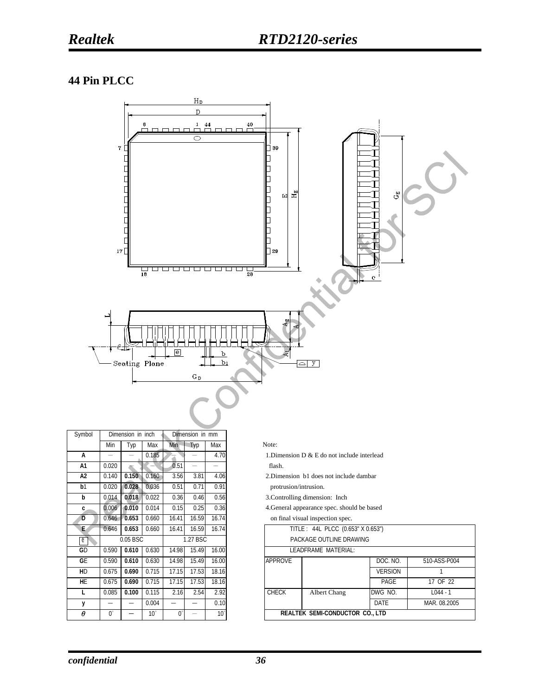#### **44 Pin PLCC**



| Symbol         |                      | Dimension in inch |              | Dimension in mm |       |              |                                                 |
|----------------|----------------------|-------------------|--------------|-----------------|-------|--------------|-------------------------------------------------|
|                | Min                  | Typ               | Max          | Min             | Тур   | Max          | Note:                                           |
| А              | -                    |                   | 0.185        |                 |       | 4.70         | 1. Dimension $D & E$ E do not include interlead |
| A1             | 0.020                |                   |              | 0.51            |       |              | flash.                                          |
| A <sub>2</sub> | 0.140                | 0.150             | 0.160        | 3.56            | 3.81  | 4.06         | 2. Dimension b1 does not include dambar         |
| b <sub>1</sub> | 0.020                | 0.028             | 0.036        | 0.51            | 0.71  | 0.91         | protrusion/intrusion.                           |
| b              | 0.014                | 0.018             | 0.022        | 0.36            | 0.46  | 0.56         | 3. Controlling dimension: Inch                  |
| C              | 0.006                | 0.010             | 0.014        | 0.15            | 0.25  | 0.36         | 4. General appearance spec. should be based     |
| Đ              | 0.646                | 0.653             | 0.660        | 16.41           | 16.59 | 16.74        | on final visual inspection spec.                |
| E.             | 0.646                | 0.653             | 0.660        | 16.41           | 16.59 | 16.74        | TITLE: 44L PLCC (0.653" X 0.653")               |
| e)             |                      | 0.05 BSC          |              | 1.27 BSC        |       |              | PACKAGE OUTLINE DRAWING                         |
| GD             | 0.590                | 0.610             | 0.630        | 14.98           | 15.49 | 16.00        | LEADERAME MATERIAL:                             |
| GE             | 0.590                | 0.610             | 0.630        | 14.98           | 15.49 | 16.00        | <b>APPROVE</b><br>DO <sub>(</sub>               |
| HD.            | 0.675                | 0.690             | 0.715        | 17.15           | 17.53 | 18.16        | <b>VFF</b>                                      |
| <b>HE</b>      | 0.675                | 0.690             | 0.715        | 17.15           | 17.53 | 18.16        | P                                               |
|                | 0.085                | 0.100             | 0.115        | 2.16            | 2.54  | 2.92         | <b>CHECK</b><br><b>DWG</b><br>Albert Chang      |
| у              |                      |                   | 0.004        |                 |       | 0.10         | <b>DAT</b>                                      |
| θ              | $\mathbf{0}^{\circ}$ |                   | $10^{\circ}$ | $0^{\circ}$     |       | $10^{\circ}$ | <b>REALTEK SEMI-CONDUCTOR CO., LTD</b>          |

- 1.Dimension D & E do not include interlead
- **A2** 0.140 **0.150** 0.160 3.56 3.81 4.06 2.Dimension b1 does not include dambar protrusion/intrusion.
- **b** 0.014 **0.018** 0.022 0.36 0.46 0.56 3.Controlling dimension: Inch
- **c** 0.006 **0.010** 0.014 0.15 0.25 0.36 4.General appearance spec. should be based

| E                       | 0.646 | 0.653    | 0.660        | 16.41    | 16.59 | 16.74        | TITLE: 44L PLCC (0.653" X 0.653") |                         |                                 |                |              |
|-------------------------|-------|----------|--------------|----------|-------|--------------|-----------------------------------|-------------------------|---------------------------------|----------------|--------------|
| $\overline{\mathbf{e}}$ |       | 0.05 BSC |              | 1.27 BSC |       |              |                                   | PACKAGE OUTLINE DRAWING |                                 |                |              |
| GD                      | 0.590 | 0.610    | 0.630        | 14.98    | 15.49 | 16.00        |                                   |                         | LEADFRAME MATERIAL:             |                |              |
| GF                      | 0.590 | 0.610    | 0.630        | 14.98    | 15.49 | 16.00        |                                   | APPROVE                 |                                 | DOC. NO.       | 510-ASS-P004 |
| HD                      | 0.675 | 0.690    | 0.715        | 17.15    | 17.53 | 18.16        |                                   |                         |                                 | <b>VERSION</b> |              |
| HE.                     | 0.675 | 0.690    | 0.715        | 17.15    | 17.53 | 18.16        |                                   |                         |                                 | PAGE           | 17 OF 22     |
| L.                      | 0.085 | 0.100    | 0.115        | 2.16     | 2.54  | 2.92         |                                   | <b>CHECK</b>            | Albert Chang                    | DWG NO.        | $L044 - 1$   |
| у                       |       |          | 0.004        |          |       | 0.10         |                                   |                         |                                 | DATE           | MAR. 08.2005 |
| θ                       | U.    |          | $10^{\circ}$ | 0°       | -     | $10^{\circ}$ |                                   |                         | REALTEK SEMI-CONDUCTOR CO., LTD |                |              |